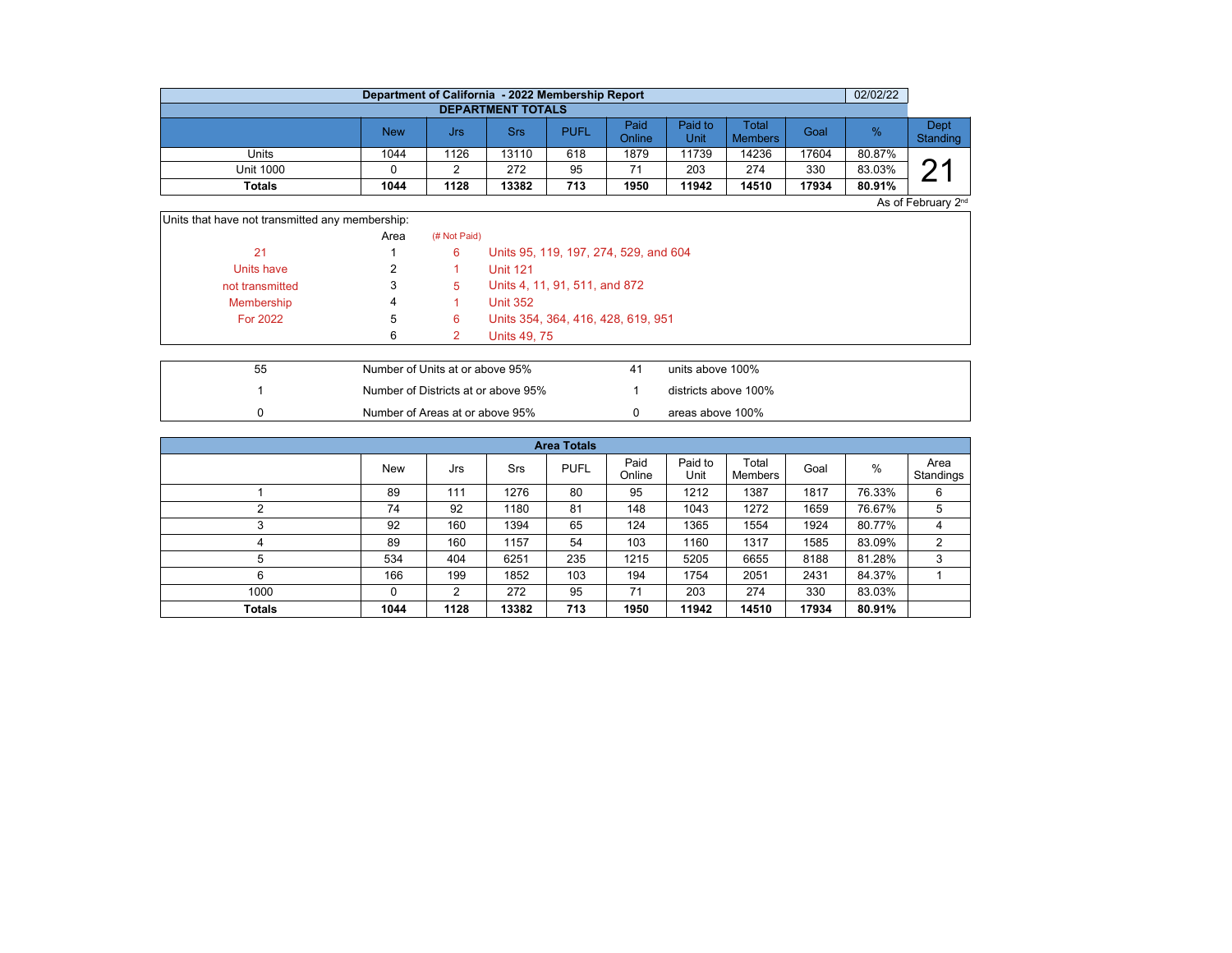|                          | Department of California - 2022 Membership Report |      |       |             |                |                 |                                |       | 02/02/22 |                  |  |  |  |  |
|--------------------------|---------------------------------------------------|------|-------|-------------|----------------|-----------------|--------------------------------|-------|----------|------------------|--|--|--|--|
| <b>DEPARTMENT TOTALS</b> |                                                   |      |       |             |                |                 |                                |       |          |                  |  |  |  |  |
|                          | New                                               | Jrs  | Srs   | <b>PUFL</b> | Paid<br>Online | Paid to<br>Unit | <b>Total</b><br><b>Members</b> | Goal  | %        | Dept<br>Standing |  |  |  |  |
| Units                    | 1044                                              | 1126 | 13110 | 618         | 1879           | 11739           | 14236                          | 17604 | 80.87%   |                  |  |  |  |  |
| Unit 1000                |                                                   |      | 272   | 95          | 71             | 203             | 274                            | 330   | 83.03%   | ∩,               |  |  |  |  |
| Totals                   | 1044                                              | 1128 | 13382 | 713         | 1950           | 11942           | 14510                          | 17934 | 80.91%   |                  |  |  |  |  |

As of February 2<sup>nd</sup>

| Units that have not transmitted any membership: |      |              |                                       |
|-------------------------------------------------|------|--------------|---------------------------------------|
|                                                 | Area | (# Not Paid) |                                       |
| 21                                              |      | 6            | Units 95, 119, 197, 274, 529, and 604 |
| Units have                                      |      |              | <b>Unit 121</b>                       |
| not transmitted                                 | 3    | 5.           | Units 4, 11, 91, 511, and 872         |
| Membership                                      | 4    |              | <b>Unit 352</b>                       |
| <b>For 2022</b>                                 | 5    | 6            | Units 354, 364, 416, 428, 619, 951    |
|                                                 | 6    |              | Units 49, 75                          |

| 55 | Number of Units at or above 95%     | units above 100%     |
|----|-------------------------------------|----------------------|
|    | Number of Districts at or above 95% | districts above 100% |
|    | Number of Areas at or above 95%     | areas above 100%     |

| <b>Area Totals</b> |            |      |       |             |                |                 |                  |       |        |                   |  |  |  |
|--------------------|------------|------|-------|-------------|----------------|-----------------|------------------|-------|--------|-------------------|--|--|--|
|                    | <b>New</b> | Jrs  | Srs   | <b>PUFL</b> | Paid<br>Online | Paid to<br>Unit | Total<br>Members | Goal  | $\%$   | Area<br>Standings |  |  |  |
|                    | 89         | 111  | 1276  | 80          | 95             | 1212            | 1387             | 1817  | 76.33% | 6                 |  |  |  |
|                    | 74         | 92   | 1180  | 81          | 148            | 1043            | 1272             | 1659  | 76.67% | 5                 |  |  |  |
|                    | 92         | 160  | 1394  | 65          | 124            | 1365            | 1554             | 1924  | 80.77% | 4                 |  |  |  |
| 4                  | 89         | 160  | 1157  | 54          | 103            | 1160            | 1317             | 1585  | 83.09% | 2                 |  |  |  |
| 5                  | 534        | 404  | 6251  | 235         | 1215           | 5205            | 6655             | 8188  | 81.28% | 3                 |  |  |  |
| 6                  | 166        | 199  | 1852  | 103         | 194            | 1754            | 2051             | 2431  | 84.37% |                   |  |  |  |
| 1000               | 0          | 2    | 272   | 95          | 71             | 203             | 274              | 330   | 83.03% |                   |  |  |  |
| <b>Totals</b>      | 1044       | 1128 | 13382 | 713         | 1950           | 11942           | 14510            | 17934 | 80.91% |                   |  |  |  |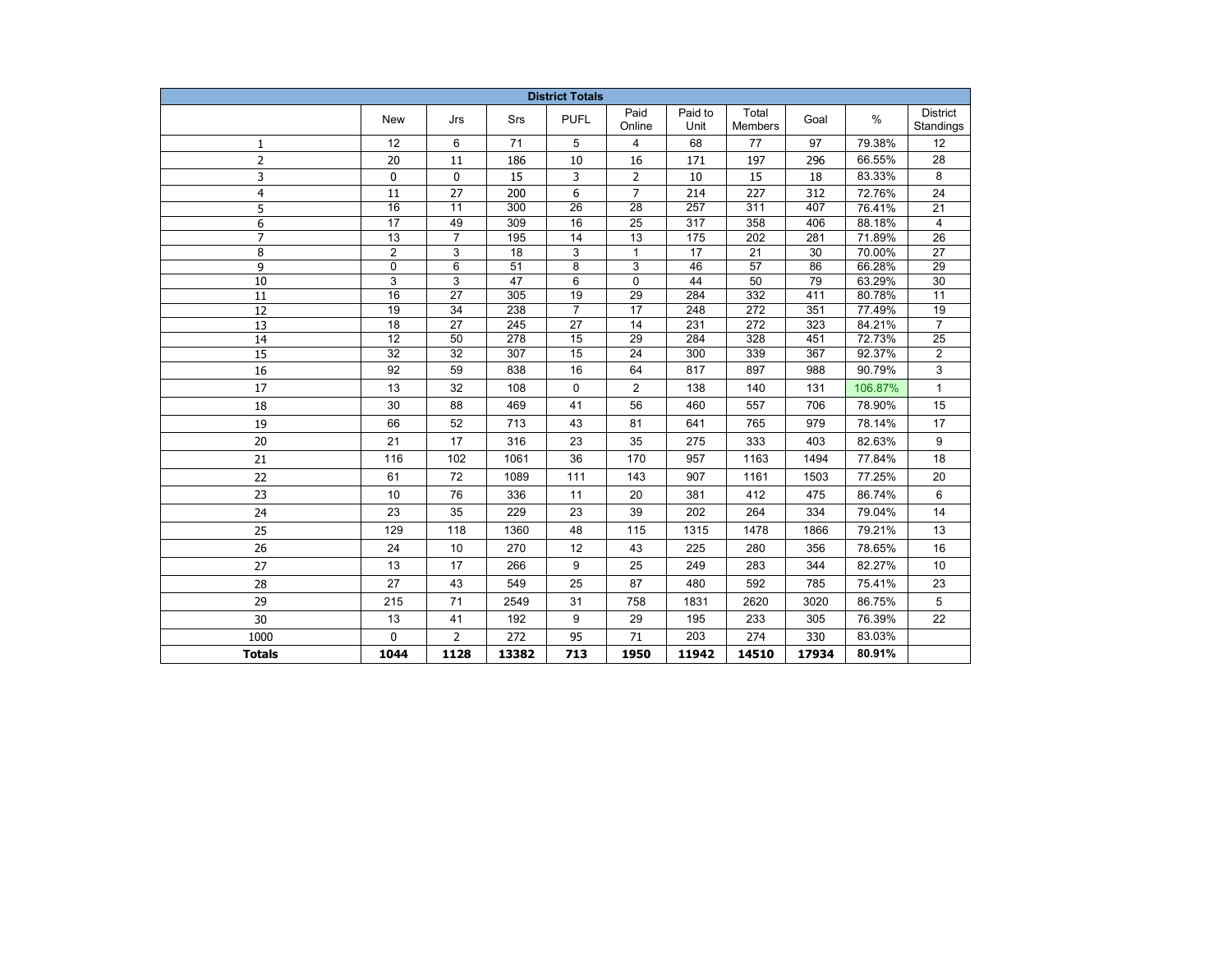| <b>District Totals</b> |                 |                 |                  |                 |                 |                  |                         |       |         |                              |  |
|------------------------|-----------------|-----------------|------------------|-----------------|-----------------|------------------|-------------------------|-------|---------|------------------------------|--|
|                        | New             | Jrs             | Srs              | <b>PUFL</b>     | Paid<br>Online  | Paid to<br>Unit  | Total<br><b>Members</b> | Goal  | $\%$    | <b>District</b><br>Standings |  |
| 1                      | 12              | 6               | 71               | 5               | 4               | 68               | 77                      | 97    | 79.38%  | 12                           |  |
| $\overline{2}$         | 20              | 11              | 186              | 10              | 16              | 171              | 197                     | 296   | 66.55%  | 28                           |  |
| 3                      | 0               | 0               | 15               | 3               | 2               | 10               | 15                      | 18    | 83.33%  | 8                            |  |
| $\overline{4}$         | 11              | 27              | 200              | 6               | $\overline{7}$  | 214              | 227                     | 312   | 72.76%  | 24                           |  |
| 5                      | $\overline{16}$ | $\overline{11}$ | $\overline{300}$ | $\overline{26}$ | $\overline{28}$ | $\overline{257}$ | $\overline{311}$        | 407   | 76.41%  | 21                           |  |
| 6                      | $\overline{17}$ | 49              | 309              | 16              | $\overline{25}$ | $\overline{317}$ | 358                     | 406   | 88.18%  | $\overline{4}$               |  |
| $\overline{7}$         | 13              | $\overline{7}$  | 195              | 14              | $\overline{13}$ | $\frac{175}{2}$  | 202                     | 281   | 71.89%  | $\overline{26}$              |  |
| 8                      | $\overline{2}$  | 3               | $\overline{18}$  | 3               | $\mathbf{1}$    | $\overline{17}$  | $\overline{21}$         | 30    | 70.00%  | $\overline{27}$              |  |
| 9                      | $\mathbf 0$     | 6               | 51               | 8               | 3               | 46               | 57                      | 86    | 66.28%  | 29                           |  |
| 10                     | 3               | 3               | 47               | 6               | 0               | 44               | 50                      | 79    | 63.29%  | 30                           |  |
| 11                     | 16              | 27              | 305              | 19              | 29              | 284              | 332                     | 411   | 80.78%  | 11                           |  |
| 12                     | 19              | 34              | 238              | 7               | 17              | 248              | 272                     | 351   | 77.49%  | 19                           |  |
| 13                     | 18              | 27              | 245              | 27              | 14              | 231              | 272                     | 323   | 84.21%  | $\overline{7}$               |  |
| $\overline{14}$        | $\overline{12}$ | $\overline{50}$ | $\overline{278}$ | $\overline{15}$ | $\overline{29}$ | 284              | 328                     | 451   | 72.73%  | $\overline{25}$              |  |
| $\overline{15}$        | $\overline{32}$ | $\overline{32}$ | 307              | $\overline{15}$ | $\overline{24}$ | 300              | 339                     | 367   | 92.37%  | $\overline{2}$               |  |
| 16                     | 92              | 59              | 838              | 16              | 64              | 817              | 897                     | 988   | 90.79%  | 3                            |  |
| 17                     | 13              | 32              | 108              | $\mathbf 0$     | $\overline{2}$  | 138              | 140                     | 131   | 106.87% | $\mathbf{1}$                 |  |
| 18                     | 30              | 88              | 469              | 41              | 56              | 460              | 557                     | 706   | 78.90%  | 15                           |  |
| 19                     | 66              | 52              | 713              | 43              | 81              | 641              | 765                     | 979   | 78.14%  | 17                           |  |
| 20                     | 21              | 17              | 316              | 23              | 35              | 275              | 333                     | 403   | 82.63%  | 9                            |  |
| 21                     | 116             | 102             | 1061             | 36              | 170             | 957              | 1163                    | 1494  | 77.84%  | 18                           |  |
| 22                     | 61              | 72              | 1089             | 111             | 143             | 907              | 1161                    | 1503  | 77.25%  | 20                           |  |
| 23                     | 10              | 76              | 336              | 11              | 20              | 381              | 412                     | 475   | 86.74%  | 6                            |  |
| 24                     | 23              | 35              | 229              | 23              | 39              | 202              | 264                     | 334   | 79.04%  | 14                           |  |
| 25                     | 129             | 118             | 1360             | 48              | 115             | 1315             | 1478                    | 1866  | 79.21%  | 13                           |  |
| 26                     | 24              | 10              | 270              | 12              | 43              | 225              | 280                     | 356   | 78.65%  | 16                           |  |
| 27                     | 13              | 17              | 266              | 9               | 25              | 249              | 283                     | 344   | 82.27%  | 10                           |  |
| 28                     | 27              | 43              | 549              | 25              | 87              | 480              | 592                     | 785   | 75.41%  | 23                           |  |
| 29                     | 215             | 71              | 2549             | 31              | 758             | 1831             | 2620                    | 3020  | 86.75%  | 5                            |  |
| 30                     | 13              | 41              | 192              | 9               | 29              | 195              | 233                     | 305   | 76.39%  | 22                           |  |
| 1000                   | $\Omega$        | $\overline{2}$  | 272              | 95              | 71              | 203              | 274                     | 330   | 83.03%  |                              |  |
| <b>Totals</b>          | 1044            | 1128            | 13382            | 713             | 1950            | 11942            | 14510                   | 17934 | 80.91%  |                              |  |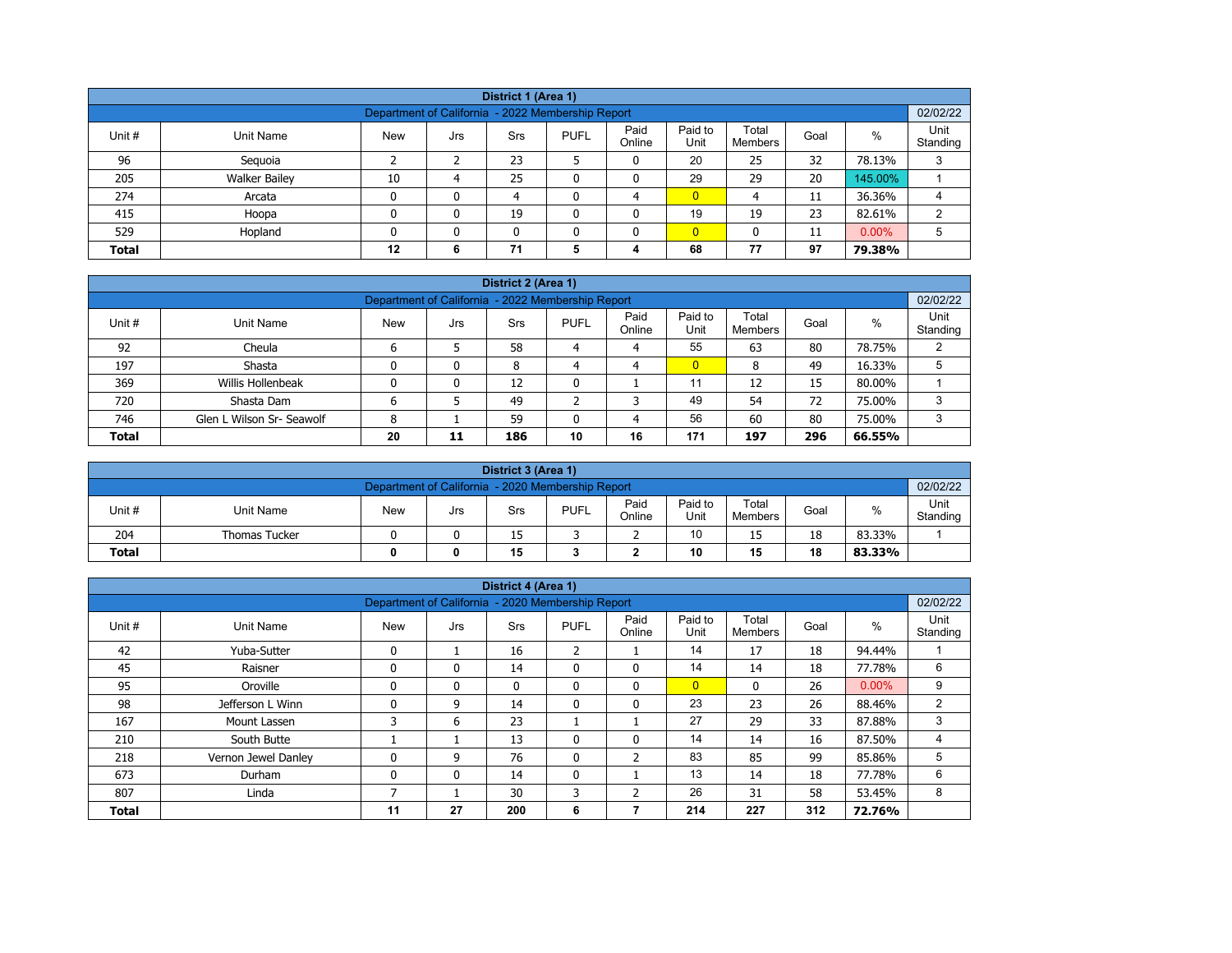| District 1 (Area 1)                                           |                                                                                                                                                                 |    |   |    |   |   |                |    |    |         |   |  |  |
|---------------------------------------------------------------|-----------------------------------------------------------------------------------------------------------------------------------------------------------------|----|---|----|---|---|----------------|----|----|---------|---|--|--|
| 02/02/22<br>Department of California - 2022 Membership Report |                                                                                                                                                                 |    |   |    |   |   |                |    |    |         |   |  |  |
| Unit #                                                        | Unit<br>Paid<br>Paid to<br>Total<br>$\%$<br><b>PUFL</b><br>Goal<br>Unit Name<br><b>New</b><br><b>Srs</b><br>Jrs<br>Online<br>Unit<br>Standing<br><b>Members</b> |    |   |    |   |   |                |    |    |         |   |  |  |
| 96                                                            | Seguoia                                                                                                                                                         |    |   | 23 |   | 0 | 20             | 25 | 32 | 78.13%  | 3 |  |  |
| 205                                                           | <b>Walker Bailey</b>                                                                                                                                            | 10 | 4 | 25 | ۵ | 0 | 29             | 29 | 20 | 145.00% |   |  |  |
| 274                                                           | Arcata                                                                                                                                                          | 0  | 0 | 4  |   | 4 | $\overline{0}$ | 4  | 11 | 36.36%  | 4 |  |  |
| 415                                                           | Hoopa                                                                                                                                                           | 0  | 0 | 19 | ٥ | 0 | 19             | 19 | 23 | 82.61%  | 2 |  |  |
| 529                                                           | $\overline{0}$<br>$0.00\%$<br>Hopland<br>0<br>5<br>$\mathbf{0}$<br>11<br>n<br>0                                                                                 |    |   |    |   |   |                |    |    |         |   |  |  |
| <b>Total</b>                                                  |                                                                                                                                                                 | 12 | 6 | 71 | 5 | 4 | 68             | 77 | 97 | 79.38%  |   |  |  |

|              | District 2 (Area 1)                                                                                                                                      |    |    |     |    |    |                |     |     |        |   |  |  |  |
|--------------|----------------------------------------------------------------------------------------------------------------------------------------------------------|----|----|-----|----|----|----------------|-----|-----|--------|---|--|--|--|
|              | 02/02/22<br>Department of California - 2022 Membership Report                                                                                            |    |    |     |    |    |                |     |     |        |   |  |  |  |
| Unit #       | Paid<br>Paid to<br>Unit<br>Total<br>$\%$<br><b>PUFL</b><br><b>New</b><br>Unit Name<br>Goal<br><b>Srs</b><br>Jrs<br>Online<br>Unit<br>Standing<br>Members |    |    |     |    |    |                |     |     |        |   |  |  |  |
| 92           | Cheula                                                                                                                                                   |    |    | 58  | 4  | 4  | 55             | 63  | 80  | 78.75% |   |  |  |  |
| 197          | Shasta                                                                                                                                                   |    | 0  | 8   | 4  | 4  | $\overline{0}$ | 8   | 49  | 16.33% |   |  |  |  |
| 369          | Willis Hollenbeak                                                                                                                                        |    | 0  | 12  |    |    | 11             | 12  | 15  | 80.00% |   |  |  |  |
| 720          | Shasta Dam                                                                                                                                               |    |    | 49  |    | っ  | 49             | 54  | 72  | 75.00% | 3 |  |  |  |
| 746          | 56<br>80<br>Glen L Wilson Sr- Seawolf<br>60<br>59<br>75.00%<br>3<br>8<br>4                                                                               |    |    |     |    |    |                |     |     |        |   |  |  |  |
| <b>Total</b> |                                                                                                                                                          | 20 | 11 | 186 | 10 | 16 | 171            | 197 | 296 | 66.55% |   |  |  |  |

|              | District 3 (Area 1)                                           |            |     |     |             |                |                 |                  |      |        |                  |  |  |  |
|--------------|---------------------------------------------------------------|------------|-----|-----|-------------|----------------|-----------------|------------------|------|--------|------------------|--|--|--|
|              | 02/02/22<br>Department of California - 2020 Membership Report |            |     |     |             |                |                 |                  |      |        |                  |  |  |  |
| Unit#        | Unit Name                                                     | <b>New</b> | Jrs | Srs | <b>PUFL</b> | Paid<br>Online | Paid to<br>Unit | Total<br>Members | Goal | %      | Unit<br>Standing |  |  |  |
| 204          | <b>Thomas Tucker</b>                                          |            |     | 15  |             | -              | 10              | 15               | 18   | 83.33% |                  |  |  |  |
| <b>Total</b> | 15<br>10<br>18<br>15<br>83.33%<br>0                           |            |     |     |             |                |                 |                  |      |        |                  |  |  |  |

|              |                     |                                                   |     | District 4 (Area 1) |                |                |                 |                  |      |          |                  |
|--------------|---------------------|---------------------------------------------------|-----|---------------------|----------------|----------------|-----------------|------------------|------|----------|------------------|
|              |                     | Department of California - 2020 Membership Report |     |                     |                |                |                 |                  |      |          | 02/02/22         |
| Unit#        | <b>Unit Name</b>    | <b>New</b>                                        | Jrs | Srs                 | <b>PUFL</b>    | Paid<br>Online | Paid to<br>Unit | Total<br>Members | Goal | $\%$     | Unit<br>Standing |
| 42           | Yuba-Sutter         | $\Omega$                                          |     | 16                  | $\overline{2}$ |                | 14              | 17               | 18   | 94.44%   |                  |
| 45           | Raisner             | $\mathbf{0}$                                      | 0   | 14                  | 0              | $\mathbf{0}$   | 14              | 14               | 18   | 77.78%   | 6                |
| 95           | Oroville            | $\mathbf{0}$                                      | 0   | $\mathbf{0}$        | $\mathbf{0}$   | $\mathbf{0}$   | $\overline{0}$  | $\mathbf{0}$     | 26   | $0.00\%$ | 9                |
| 98           | Jefferson L Winn    | $\Omega$                                          | 9   | 14                  | 0              | 0              | 23              | 23               | 26   | 88.46%   | $\overline{2}$   |
| 167          | Mount Lassen        | 3                                                 | 6   | 23                  |                |                | 27              | 29               | 33   | 87.88%   | 3                |
| 210          | South Butte         |                                                   |     | 13                  | 0              | $\mathbf{0}$   | 14              | 14               | 16   | 87.50%   | 4                |
| 218          | Vernon Jewel Danley |                                                   | 9   | 76                  | 0              | 2              | 83              | 85               | 99   | 85.86%   | 5                |
| 673          | Durham              | $\mathbf{0}$                                      | 0   | 14                  | $\mathbf{0}$   |                | 13              | 14               | 18   | 77.78%   | 6                |
| 807          | Linda               |                                                   |     | 30                  | 3              | 2              | 26              | 31               | 58   | 53.45%   | 8                |
| <b>Total</b> |                     | 11                                                | 27  | 200                 | 6              |                | 214             | 227              | 312  | 72.76%   |                  |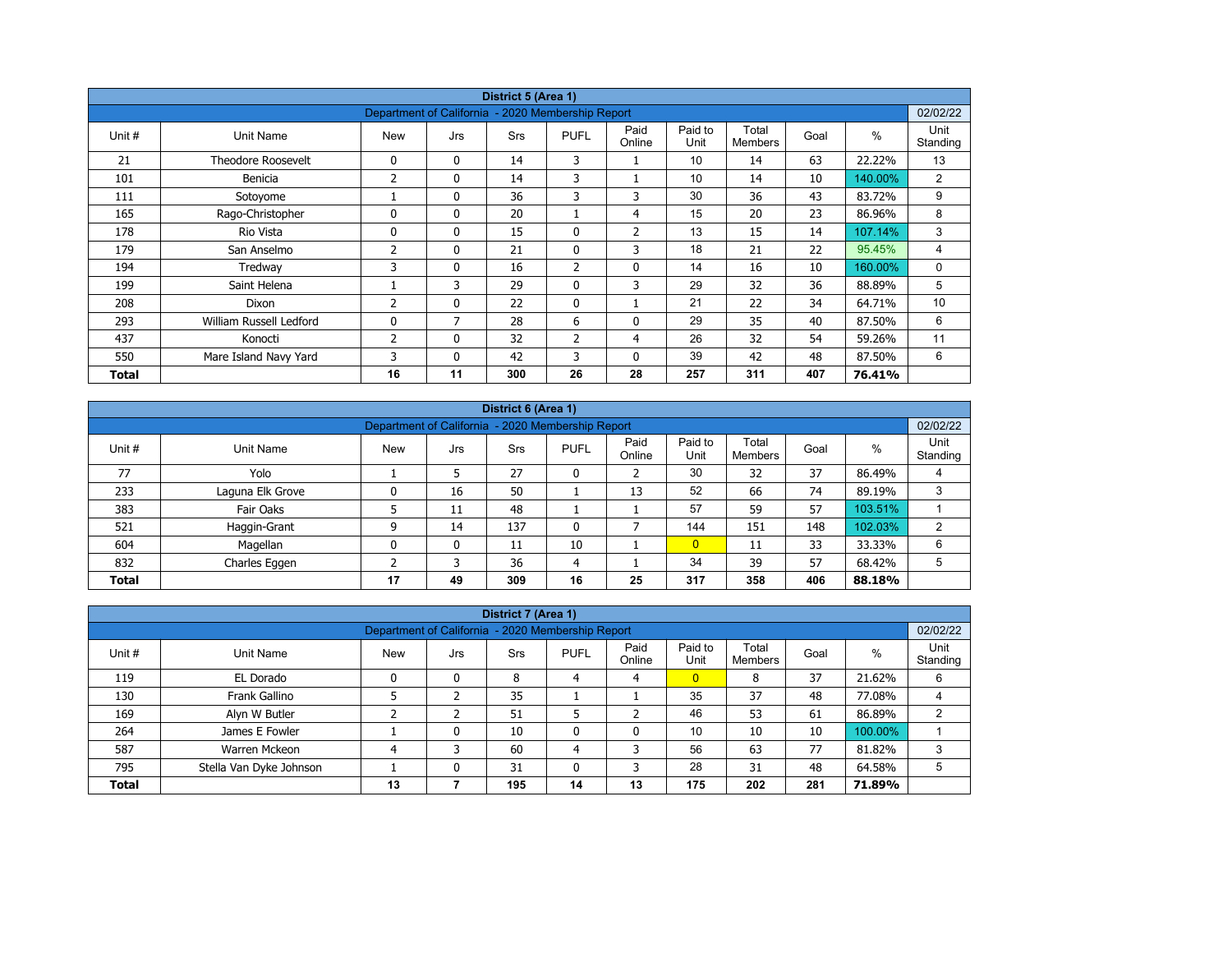|        |                         |                                                   |              | District 5 (Area 1) |                |                |                 |                         |      |               |                  |
|--------|-------------------------|---------------------------------------------------|--------------|---------------------|----------------|----------------|-----------------|-------------------------|------|---------------|------------------|
|        |                         | Department of California - 2020 Membership Report |              |                     |                |                |                 |                         |      |               | 02/02/22         |
| Unit # | Unit Name               | New                                               | Jrs          | <b>Srs</b>          | <b>PUFL</b>    | Paid<br>Online | Paid to<br>Unit | Total<br><b>Members</b> | Goal | $\frac{0}{0}$ | Unit<br>Standing |
| 21     | Theodore Roosevelt      | 0                                                 | $\mathbf{0}$ | 14                  | 3              |                | 10              | 14                      | 63   | 22.22%        | 13               |
| 101    | Benicia                 | 2                                                 | $\mathbf 0$  | 14                  | 3              |                | 10              | 14                      | 10   | 140.00%       | $\overline{2}$   |
| 111    | Sotoyome                |                                                   | $\mathbf{0}$ | 36                  | 3              | 3              | 30              | 36                      | 43   | 83.72%        | 9                |
| 165    | Rago-Christopher        | 0                                                 | $\mathbf{0}$ | 20                  |                | 4              | 15              | 20                      | 23   | 86.96%        | 8                |
| 178    | Rio Vista               | 0                                                 | $\mathbf{0}$ | 15                  | 0              | 2              | 13              | 15                      | 14   | 107.14%       | 3                |
| 179    | San Anselmo             | 2                                                 | $\mathbf{0}$ | 21                  | $\mathbf{0}$   | 3              | 18              | 21                      | 22   | 95.45%        | 4                |
| 194    | Tredway                 | 3                                                 | $\mathbf{0}$ | 16                  | $\overline{2}$ | 0              | 14              | 16                      | 10   | 160.00%       | 0                |
| 199    | Saint Helena            |                                                   | 3            | 29                  | $\mathbf{0}$   | 3              | 29              | 32                      | 36   | 88.89%        | 5                |
| 208    | Dixon                   | 2                                                 | $\mathbf{0}$ | 22                  | $\mathbf{0}$   |                | 21              | 22                      | 34   | 64.71%        | 10               |
| 293    | William Russell Ledford | 0                                                 | 7            | 28                  | 6              | $\mathbf{0}$   | 29              | 35                      | 40   | 87.50%        | 6                |
| 437    | Konocti                 | 2                                                 | $\mathbf{0}$ | 32                  | 2              | 4              | 26              | 32                      | 54   | 59.26%        | 11               |
| 550    | Mare Island Navy Yard   | 3                                                 | $\mathbf{0}$ | 42                  | 3              | 0              | 39              | 42                      | 48   | 87.50%        | 6                |
| Total  |                         | 16                                                | 11           | 300                 | 26             | 28             | 257             | 311                     | 407  | 76.41%        |                  |

|              | District 6 (Area 1) |            |     |            |                                                   |                |                 |                  |      |         |                  |  |  |  |
|--------------|---------------------|------------|-----|------------|---------------------------------------------------|----------------|-----------------|------------------|------|---------|------------------|--|--|--|
|              |                     |            |     |            | Department of California - 2020 Membership Report |                |                 |                  |      |         | 02/02/22         |  |  |  |
| Unit #       | Unit Name           | <b>New</b> | Jrs | <b>Srs</b> | <b>PUFL</b>                                       | Paid<br>Online | Paid to<br>Unit | Total<br>Members | Goal | $\%$    | Unit<br>Standing |  |  |  |
| 77           | Yolo                |            | 5   | 27         | 0                                                 |                | 30              | 32               | 37   | 86.49%  | 4                |  |  |  |
| 233          | Laguna Elk Grove    | 0          | 16  | 50         |                                                   | 13             | 52              | 66               | 74   | 89.19%  | 3                |  |  |  |
| 383          | Fair Oaks           |            | 11  | 48         |                                                   |                | 57              | 59               | 57   | 103.51% |                  |  |  |  |
| 521          | Haggin-Grant        | ٩          | 14  | 137        | 0                                                 |                | 144             | 151              | 148  | 102.03% | 2                |  |  |  |
| 604          | Magellan            | 0          | 0   | 11         | 10                                                |                | $\overline{0}$  | 11               | 33   | 33.33%  | 6                |  |  |  |
| 832          | Charles Eggen       |            |     | 36         | 4                                                 |                | 34              | 39               | 57   | 68.42%  | 5                |  |  |  |
| <b>Total</b> |                     | 17         | 49  | 309        | 16                                                | 25             | 317             | 358              | 406  | 88.18%  |                  |  |  |  |

|              |                                                                               |                                                   |     | District 7 (Area 1) |             |                |                 |                  |      |         |                  |
|--------------|-------------------------------------------------------------------------------|---------------------------------------------------|-----|---------------------|-------------|----------------|-----------------|------------------|------|---------|------------------|
|              |                                                                               | Department of California - 2020 Membership Report |     |                     |             |                |                 |                  |      |         | 02/02/22         |
| Unit #       | Unit Name                                                                     | <b>New</b>                                        | Jrs | Srs                 | <b>PUFL</b> | Paid<br>Online | Paid to<br>Unit | Total<br>Members | Goal | $\%$    | Unit<br>Standing |
| 119          | EL Dorado                                                                     | 0                                                 | 0   | 8                   | 4           | 4              | $\overline{0}$  | 8                | 37   | 21.62%  | 6                |
| 130          | Frank Gallino                                                                 |                                                   |     | 35                  |             |                | 35              | 37               | 48   | 77.08%  |                  |
| 169          | Alyn W Butler                                                                 |                                                   |     | 51                  |             |                | 46              | 53               | 61   | 86.89%  | C                |
| 264          | James E Fowler                                                                |                                                   | 0   | 10                  | 0           | 0              | 10              | 10               | 10   | 100.00% |                  |
| 587          | Warren Mckeon                                                                 |                                                   | 3   | 60                  | 4           | 3              | 56              | 63               | 77   | 81.82%  | 3                |
| 795          | 28<br>48<br>Stella Van Dyke Johnson<br>31<br>3<br>31<br>0<br>0<br>64.58%<br>5 |                                                   |     |                     |             |                |                 |                  |      |         |                  |
| <b>Total</b> |                                                                               | 13                                                |     | 195                 | 14          | 13             | 175             | 202              | 281  | 71.89%  |                  |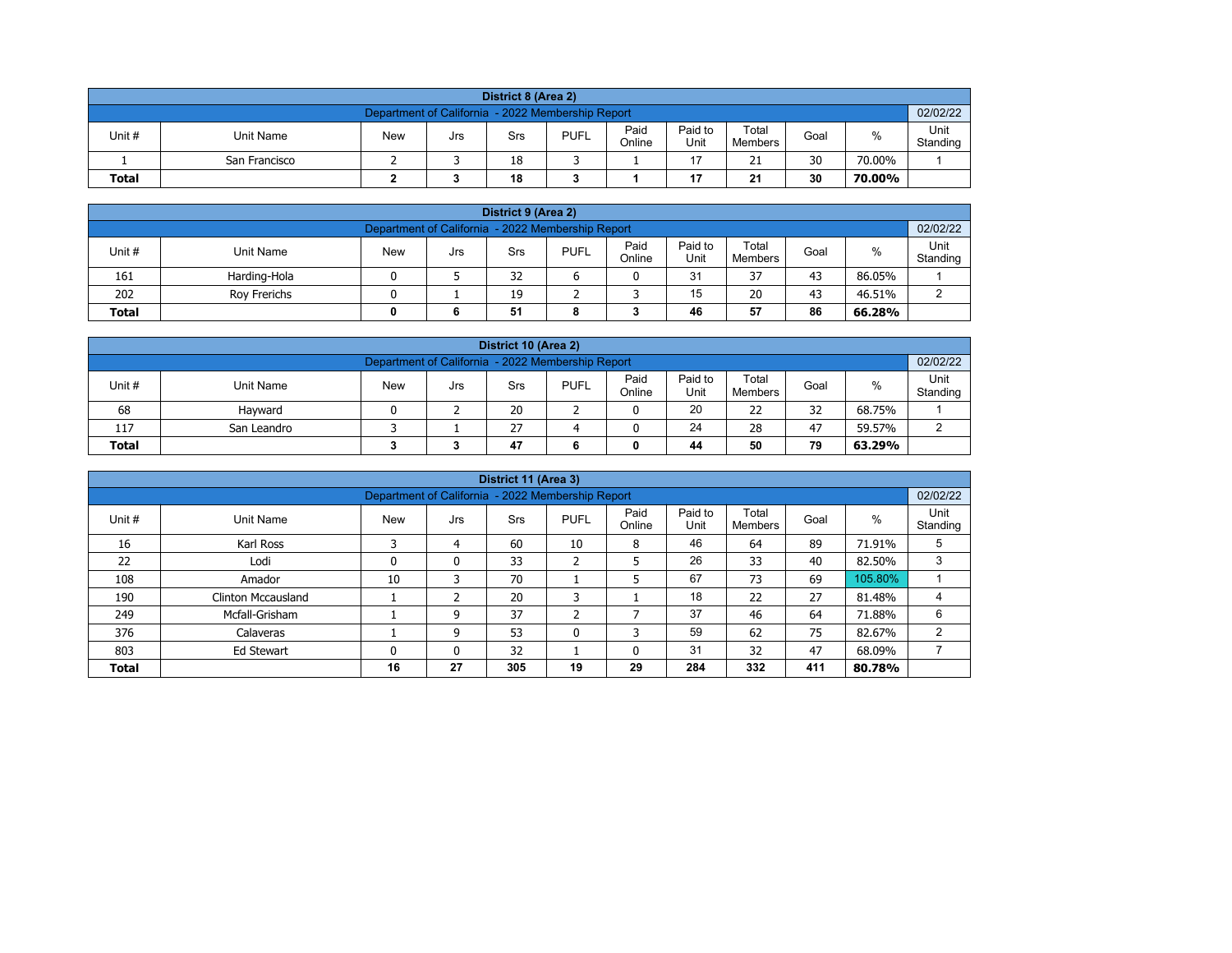|                                                                                                                                                         | District 8 (Area 2)                                           |  |  |    |  |  |    |    |    |        |  |  |  |  |
|---------------------------------------------------------------------------------------------------------------------------------------------------------|---------------------------------------------------------------|--|--|----|--|--|----|----|----|--------|--|--|--|--|
|                                                                                                                                                         | 02/02/22<br>Department of California - 2022 Membership Report |  |  |    |  |  |    |    |    |        |  |  |  |  |
| Paid<br>Paid to<br>Total<br><b>PUFL</b><br>%<br>Unit #<br>Unit Name<br><b>New</b><br>Goal<br>Srs<br>Jrs<br>Unit<br>Online<br>Standing<br><b>Members</b> |                                                               |  |  |    |  |  |    |    |    |        |  |  |  |  |
|                                                                                                                                                         | San Francisco                                                 |  |  | 18 |  |  | 17 | 21 | 30 | 70.00% |  |  |  |  |
| 30<br>18<br>17<br>21<br><b>Total</b><br>70.00%                                                                                                          |                                                               |  |  |    |  |  |    |    |    |        |  |  |  |  |

| District 9 (Area 2)                                                                                                                              |              |  |   |    |   |  |    |    |    |        |   |  |  |
|--------------------------------------------------------------------------------------------------------------------------------------------------|--------------|--|---|----|---|--|----|----|----|--------|---|--|--|
| 02/02/22<br>Department of California - 2022 Membership Report                                                                                    |              |  |   |    |   |  |    |    |    |        |   |  |  |
| Paid<br>Paid to<br>Total<br>Unit #<br><b>PUFL</b><br>%<br><b>New</b><br>Unit Name<br>Goal<br>Srs<br>Jrs<br>Standing<br>Online<br>Unit<br>Members |              |  |   |    |   |  |    |    |    |        |   |  |  |
| 161                                                                                                                                              | Harding-Hola |  |   | 32 |   |  | 31 | 37 | 43 | 86.05% |   |  |  |
| 202                                                                                                                                              | Rov Frerichs |  |   | 19 |   |  | 15 | 20 | 43 | 46.51% | ົ |  |  |
| <b>Total</b>                                                                                                                                     |              |  | 6 | 51 | 8 |  | 46 | 57 | 86 | 66.28% |   |  |  |

| District 10 (Area 2)                                                                                                                             |                                                    |  |  |    |  |  |    |    |    |        |  |  |  |
|--------------------------------------------------------------------------------------------------------------------------------------------------|----------------------------------------------------|--|--|----|--|--|----|----|----|--------|--|--|--|
| Department of California - 2022 Membership Report                                                                                                |                                                    |  |  |    |  |  |    |    |    |        |  |  |  |
| Paid<br>Paid to<br>Total<br>%<br>Unit #<br><b>PUFL</b><br>Unit Name<br><b>New</b><br>Goal<br>Srs<br>Jrs<br>Standing<br>Online<br>Unit<br>Members |                                                    |  |  |    |  |  |    |    |    |        |  |  |  |
| 68                                                                                                                                               | Havward                                            |  |  | 20 |  |  | 20 | 22 | 32 | 68.75% |  |  |  |
| 117                                                                                                                                              | 24<br>27<br>47<br>28<br>59.57%<br>ົ<br>San Leandro |  |  |    |  |  |    |    |    |        |  |  |  |
| 79<br><b>Total</b><br>47<br>44<br>50<br>63.29%                                                                                                   |                                                    |  |  |    |  |  |    |    |    |        |  |  |  |

|              |                                                                                                                                                               |                                                   |    | District 11 (Area 3) |              |    |     |     |     |         |                |  |  |  |  |
|--------------|---------------------------------------------------------------------------------------------------------------------------------------------------------------|---------------------------------------------------|----|----------------------|--------------|----|-----|-----|-----|---------|----------------|--|--|--|--|
|              |                                                                                                                                                               | Department of California - 2022 Membership Report |    |                      |              |    |     |     |     |         | 02/02/22       |  |  |  |  |
| Unit #       | Paid<br>Paid to<br>Total<br>Unit<br>$\%$<br><b>New</b><br><b>PUFL</b><br>Goal<br>Unit Name<br><b>Srs</b><br>Jrs<br>Unit<br>Online<br>Standing<br>Members<br>C |                                                   |    |                      |              |    |     |     |     |         |                |  |  |  |  |
| 16           | Karl Ross                                                                                                                                                     |                                                   | 4  | 60                   | 10           | 8  | 46  | 64  | 89  | 71.91%  | 5              |  |  |  |  |
| 22           | Lodi                                                                                                                                                          | 0                                                 | 0  | 33                   | h<br>∠       | 5  | 26  | 33  | 40  | 82.50%  | 3              |  |  |  |  |
| 108          | Amador                                                                                                                                                        | 10                                                | 3  | 70                   |              | 5  | 67  | 73  | 69  | 105.80% |                |  |  |  |  |
| 190          | Clinton Mccausland                                                                                                                                            |                                                   |    | 20                   | 3            |    | 18  | 22  | 27  | 81.48%  |                |  |  |  |  |
| 249          | Mcfall-Grisham                                                                                                                                                |                                                   | 9  | 37                   | C.           | ⇁  | 37  | 46  | 64  | 71.88%  | 6              |  |  |  |  |
| 376          | Calaveras                                                                                                                                                     |                                                   | 9  | 53                   | $\mathbf{0}$ | 3  | 59  | 62  | 75  | 82.67%  | $\overline{2}$ |  |  |  |  |
| 803          | 32<br>31<br>47<br>32<br>68.09%<br>Ed Stewart<br>$\mathbf{0}$<br>0<br>0                                                                                        |                                                   |    |                      |              |    |     |     |     |         |                |  |  |  |  |
| <b>Total</b> |                                                                                                                                                               | 16                                                | 27 | 305                  | 19           | 29 | 284 | 332 | 411 | 80.78%  |                |  |  |  |  |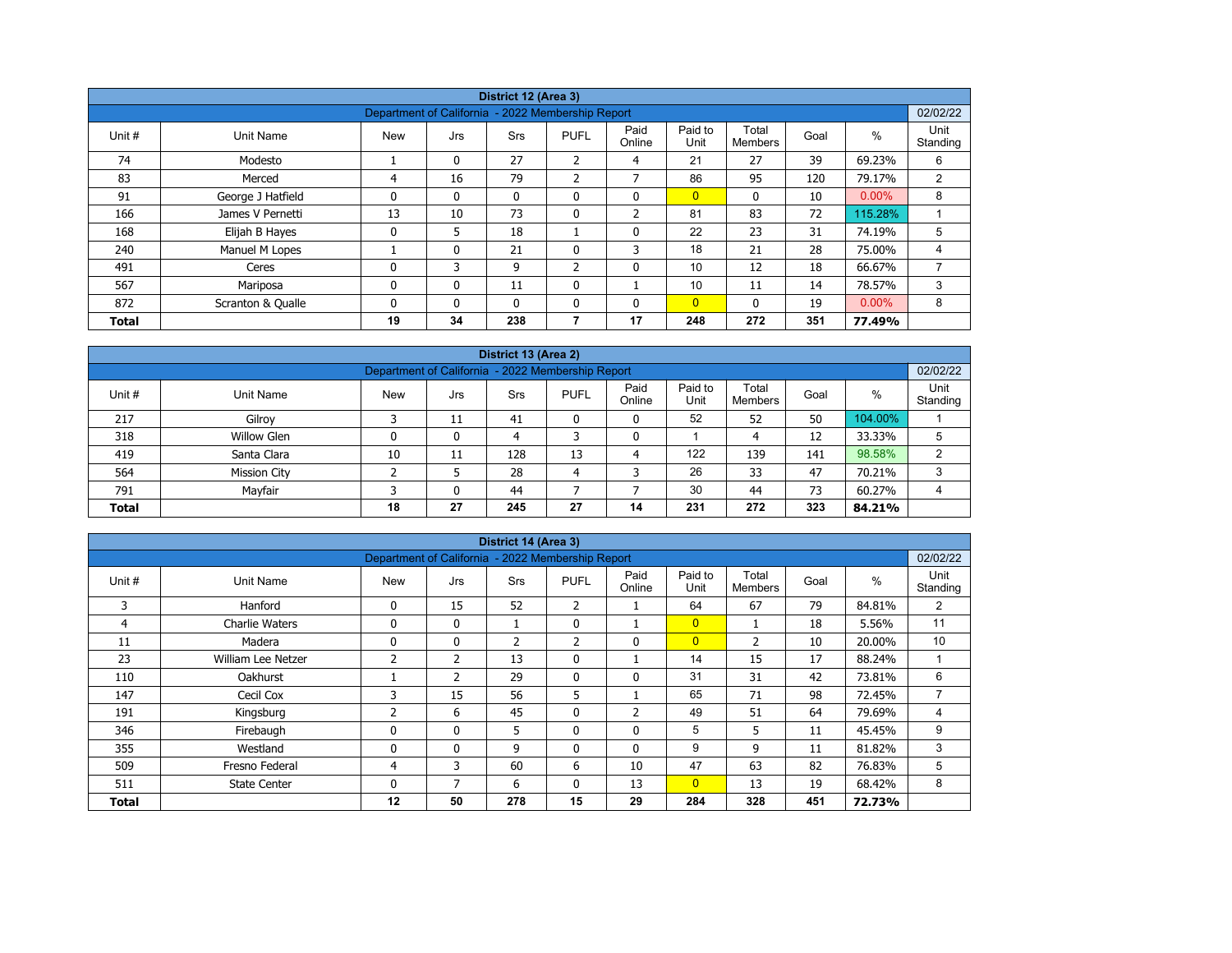|              |                   |                                                   |              | District 12 (Area 3) |                |                |                 |                         |      |          |                  |
|--------------|-------------------|---------------------------------------------------|--------------|----------------------|----------------|----------------|-----------------|-------------------------|------|----------|------------------|
|              |                   | Department of California - 2022 Membership Report |              |                      |                |                |                 |                         |      |          | 02/02/22         |
| Unit #       | Unit Name         | <b>New</b>                                        | Jrs          | <b>Srs</b>           | <b>PUFL</b>    | Paid<br>Online | Paid to<br>Unit | Total<br><b>Members</b> | Goal | %        | Unit<br>Standing |
| 74           | Modesto           |                                                   | $\mathbf{0}$ | 27                   | 2              | 4              | 21              | 27                      | 39   | 69.23%   | 6                |
| 83           | Merced            | 4                                                 | 16           | 79                   | 2              | $\overline{ }$ | 86              | 95                      | 120  | 79.17%   | 2                |
| 91           | George J Hatfield | 0                                                 | 0            | $\mathbf{0}$         | 0              | $\mathbf{0}$   | $\overline{0}$  | $\mathbf{0}$            | 10   | $0.00\%$ | 8                |
| 166          | James V Pernetti  | 13                                                | 10           | 73                   | 0              | $\overline{2}$ | 81              | 83                      | 72   | 115.28%  |                  |
| 168          | Elijah B Hayes    | $\mathbf 0$                                       | 5            | 18                   |                | $\Omega$       | 22              | 23                      | 31   | 74.19%   | 5                |
| 240          | Manuel M Lopes    |                                                   | 0            | 21                   | 0              | 3              | 18              | 21                      | 28   | 75.00%   | 4                |
| 491          | Ceres             | $\mathbf{0}$                                      | 3            | 9                    | $\overline{2}$ | $\mathbf{0}$   | 10              | 12                      | 18   | 66.67%   |                  |
| 567          | Mariposa          | 0                                                 | 0            | 11                   | 0              |                | 10              | 11                      | 14   | 78.57%   | 3                |
| 872          | Scranton & Qualle | $\mathbf{0}$                                      | $\mathbf{0}$ | $\mathbf{0}$         | $\mathbf{0}$   | $\mathbf{0}$   | $\overline{0}$  | $\Omega$                | 19   | $0.00\%$ | 8                |
| <b>Total</b> |                   | 19                                                | 34           | 238                  | 7              | 17             | 248             | 272                     | 351  | 77.49%   |                  |

| District 13 (Area 2) |                                                                                                                                                  |    |    |     |    |    |     |     |     |         |   |  |  |  |  |
|----------------------|--------------------------------------------------------------------------------------------------------------------------------------------------|----|----|-----|----|----|-----|-----|-----|---------|---|--|--|--|--|
|                      | 02/02/22<br>Department of California - 2022 Membership Report                                                                                    |    |    |     |    |    |     |     |     |         |   |  |  |  |  |
| Unit #               | Paid<br>Paid to<br>Total<br>$\%$<br><b>PUFL</b><br><b>New</b><br>Unit Name<br><b>Srs</b><br>Goal<br>Jrs<br>Unit<br>Online<br>Standing<br>Members |    |    |     |    |    |     |     |     |         |   |  |  |  |  |
| 217                  | Gilroy                                                                                                                                           |    | 11 | 41  | 0  | 0  | 52  | 52  | 50  | 104.00% |   |  |  |  |  |
| 318                  | Willow Glen                                                                                                                                      | 0  | 0  | 4   |    | 0  |     | 4   | 12  | 33.33%  | 5 |  |  |  |  |
| 419                  | Santa Clara                                                                                                                                      | 10 | 11 | 128 | 13 | 4  | 122 | 139 | 141 | 98.58%  | ົ |  |  |  |  |
| 564                  | <b>Mission City</b>                                                                                                                              |    |    | 28  | 4  | 3  | 26  | 33  | 47  | 70.21%  | 3 |  |  |  |  |
| 791                  | 30<br>Mayfair<br>73<br>44<br>60.27%<br>0<br>44                                                                                                   |    |    |     |    |    |     |     |     |         |   |  |  |  |  |
| <b>Total</b>         |                                                                                                                                                  | 18 | 27 | 245 | 27 | 14 | 231 | 272 | 323 | 84.21%  |   |  |  |  |  |

| District 14 (Area 3) |                                                                                   |                |                |                |              |                |                |                |      |        |                  |  |  |  |
|----------------------|-----------------------------------------------------------------------------------|----------------|----------------|----------------|--------------|----------------|----------------|----------------|------|--------|------------------|--|--|--|
|                      | 02/02/22<br>Department of California - 2022 Membership Report<br>Paid to<br>Total |                |                |                |              |                |                |                |      |        |                  |  |  |  |
| Unit #               | Unit Name                                                                         | <b>New</b>     | Jrs            | Srs            | <b>PUFL</b>  | Paid<br>Online | Unit           | <b>Members</b> | Goal | $\%$   | Unit<br>Standing |  |  |  |
| 3                    | Hanford                                                                           | 0              | 15             | 52             | 2            | T              | 64             | 67             | 79   | 84.81% | 2                |  |  |  |
| 4                    | <b>Charlie Waters</b>                                                             | 0              | $\mathbf{0}$   | 1              | $\mathbf{0}$ |                | $\overline{0}$ |                | 18   | 5.56%  | 11               |  |  |  |
| 11                   | Madera                                                                            | 0              | 0              | $\overline{2}$ | 2            | $\mathbf 0$    | $\overline{0}$ | 2              | 10   | 20.00% | 10               |  |  |  |
| 23                   | William Lee Netzer                                                                | $\overline{2}$ | $\overline{2}$ | 13             | $\mathbf{0}$ |                | 14             | 15             | 17   | 88.24% |                  |  |  |  |
| 110                  | Oakhurst                                                                          |                | $\overline{2}$ | 29             | $\mathbf{0}$ | $\mathbf{0}$   | 31             | 31             | 42   | 73.81% | 6                |  |  |  |
| 147                  | Cecil Cox                                                                         | 3              | 15             | 56             | 5            |                | 65             | 71             | 98   | 72.45% | 7                |  |  |  |
| 191                  | Kingsburg                                                                         | 2              | 6              | 45             | 0            | $\overline{2}$ | 49             | 51             | 64   | 79.69% | 4                |  |  |  |
| 346                  | Firebaugh                                                                         | 0              | 0              | 5              | 0            | $\mathbf 0$    | 5              | 5              | 11   | 45.45% | 9                |  |  |  |
| 355                  | Westland                                                                          | 0              | $\mathbf{0}$   | 9              | $\mathbf{0}$ | $\mathbf{0}$   | 9              | 9              | 11   | 81.82% | 3                |  |  |  |
| 509                  | Fresno Federal                                                                    | 4              | 3              | 60             | 6            | 10             | 47             | 63             | 82   | 76.83% | 5                |  |  |  |
| 511                  | <b>State Center</b>                                                               | 0              | 7              | 6              | 0            | 13             | $\overline{0}$ | 13             | 19   | 68.42% | 8                |  |  |  |
| <b>Total</b>         |                                                                                   | 12             | 50             | 278            | 15           | 29             | 284            | 328            | 451  | 72.73% |                  |  |  |  |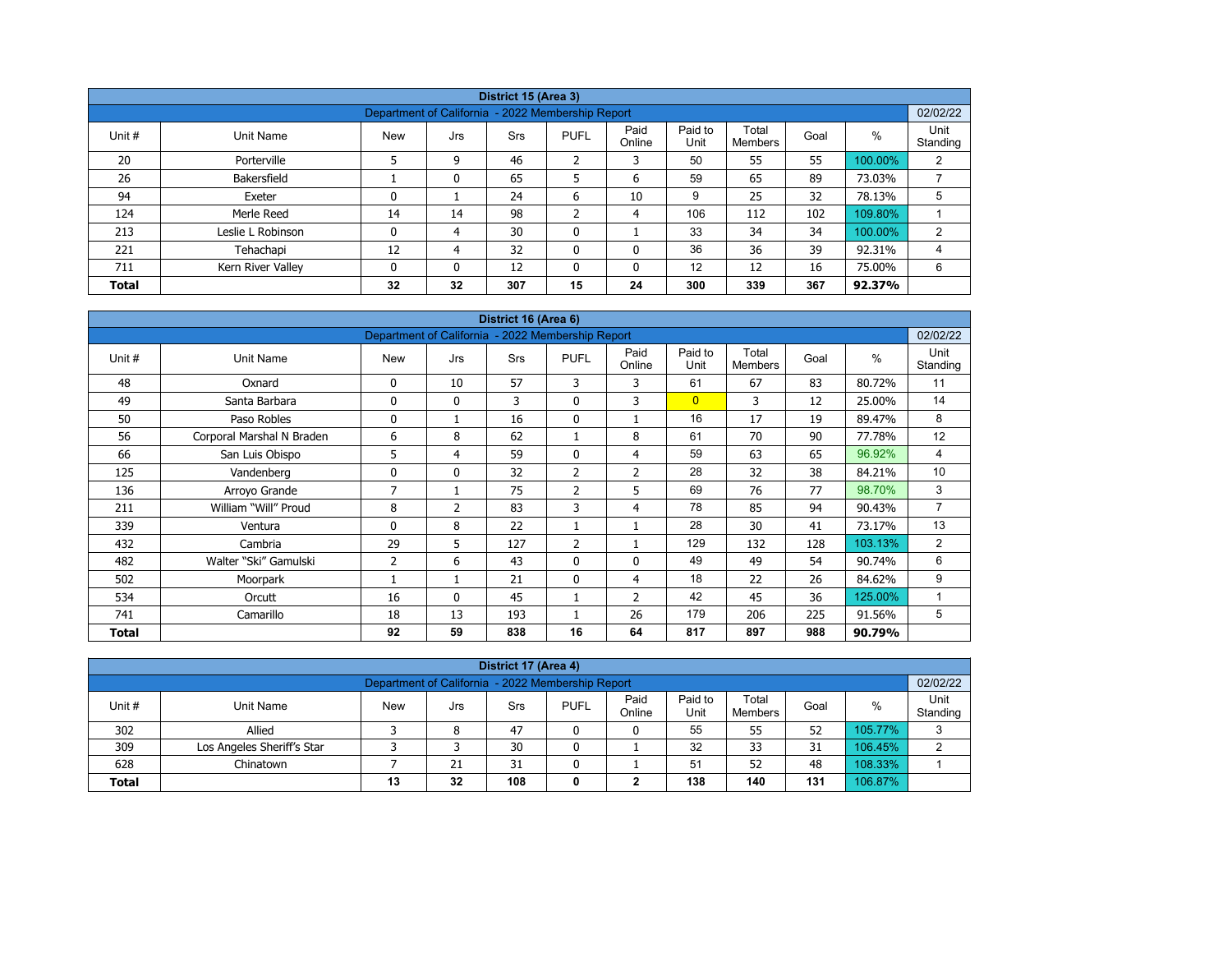|              |                                                                                                                                                              |                                                   |    | District 15 (Area 3) |         |              |     |     |     |         |          |  |  |  |
|--------------|--------------------------------------------------------------------------------------------------------------------------------------------------------------|---------------------------------------------------|----|----------------------|---------|--------------|-----|-----|-----|---------|----------|--|--|--|
|              |                                                                                                                                                              | Department of California - 2022 Membership Report |    |                      |         |              |     |     |     |         | 02/02/22 |  |  |  |
| Unit #       | Paid to<br>Paid<br>Unit<br>Total<br>%<br>Goal<br><b>PUFL</b><br>Unit Name<br><b>New</b><br><b>Srs</b><br>Jrs<br>Unit<br>Online<br><b>Members</b><br>Standing |                                                   |    |                      |         |              |     |     |     |         |          |  |  |  |
| 20           | Porterville                                                                                                                                                  |                                                   | 9  | 46                   | 2       | 3            | 50  | 55  | 55  | 100.00% | 2        |  |  |  |
| 26           | Bakersfield                                                                                                                                                  |                                                   |    | 65                   | 5       | 6            | 59  | 65  | 89  | 73.03%  |          |  |  |  |
| 94           | Exeter                                                                                                                                                       | 0                                                 |    | 24                   | 6       | 10           | 9   | 25  | 32  | 78.13%  | 5        |  |  |  |
| 124          | Merle Reed                                                                                                                                                   | 14                                                | 14 | 98                   | C.<br>∠ | 4            | 106 | 112 | 102 | 109.80% |          |  |  |  |
| 213          | Leslie L Robinson                                                                                                                                            | 0                                                 | 4  | 30                   | 0       |              | 33  | 34  | 34  | 100.00% | 2        |  |  |  |
| 221          | Tehachapi                                                                                                                                                    | 12                                                | 4  | 32                   | 0       | $\mathbf{0}$ | 36  | 36  | 39  | 92.31%  | 4        |  |  |  |
| 711          | Kern River Valley                                                                                                                                            | 0                                                 |    | 12                   | 0       | 0            | 12  | 12  | 16  | 75.00%  | 6        |  |  |  |
| <b>Total</b> |                                                                                                                                                              | 32                                                | 32 | 307                  | 15      | 24           | 300 | 339 | 367 | 92.37%  |          |  |  |  |

| District 16 (Area 6) |                           |                                                   |              |     |                |                |                 |                         |      |         |                  |  |  |
|----------------------|---------------------------|---------------------------------------------------|--------------|-----|----------------|----------------|-----------------|-------------------------|------|---------|------------------|--|--|
|                      |                           | Department of California - 2022 Membership Report |              |     |                |                |                 |                         |      |         | 02/02/22         |  |  |
| Unit #               | <b>Unit Name</b>          | <b>New</b>                                        | Jrs          | Srs | <b>PUFL</b>    | Paid<br>Online | Paid to<br>Unit | Total<br><b>Members</b> | Goal | $\%$    | Unit<br>Standing |  |  |
| 48                   | Oxnard                    | 0                                                 | 10           | 57  | 3              | 3              | 61              | 67                      | 83   | 80.72%  | 11               |  |  |
| 49                   | Santa Barbara             | 0                                                 | $\mathbf{0}$ | 3   | $\mathbf 0$    | 3              | $\overline{0}$  | 3                       | 12   | 25.00%  | 14               |  |  |
| 50                   | Paso Robles               | 0                                                 | 1            | 16  | $\mathbf 0$    |                | 16              | 17                      | 19   | 89.47%  | 8                |  |  |
| 56                   | Corporal Marshal N Braden | 6                                                 | 8            | 62  |                | 8              | 61              | 70                      | 90   | 77.78%  | 12               |  |  |
| 66                   | San Luis Obispo           | 5                                                 | 4            | 59  | $\mathbf{0}$   | 4              | 59              | 63                      | 65   | 96.92%  | 4                |  |  |
| 125                  | Vandenberg                | 0                                                 | $\mathbf{0}$ | 32  | $\overline{2}$ | 2              | 28              | 32                      | 38   | 84.21%  | 10               |  |  |
| 136                  | Arroyo Grande             | 7                                                 | 1            | 75  | $\overline{2}$ | 5              | 69              | 76                      | 77   | 98.70%  | 3                |  |  |
| 211                  | William "Will" Proud      | 8                                                 | 2            | 83  | 3              | $\overline{4}$ | 78              | 85                      | 94   | 90.43%  | 7                |  |  |
| 339                  | Ventura                   | 0                                                 | 8            | 22  |                |                | 28              | 30                      | 41   | 73.17%  | 13               |  |  |
| 432                  | Cambria                   | 29                                                | 5            | 127 | 2              |                | 129             | 132                     | 128  | 103.13% | $\overline{2}$   |  |  |
| 482                  | Walter "Ski" Gamulski     | $\overline{2}$                                    | 6            | 43  | $\mathbf{0}$   | $\mathbf{0}$   | 49              | 49                      | 54   | 90.74%  | 6                |  |  |
| 502                  | Moorpark                  |                                                   | 1            | 21  | $\mathbf 0$    | 4              | 18              | 22                      | 26   | 84.62%  | 9                |  |  |
| 534                  | Orcutt                    | 16                                                | $\mathbf{0}$ | 45  |                | 2              | 42              | 45                      | 36   | 125.00% | 1                |  |  |
| 741                  | Camarillo                 | 18                                                | 13           | 193 |                | 26             | 179             | 206                     | 225  | 91.56%  | 5                |  |  |
| Total                |                           | 92                                                | 59           | 838 | 16             | 64             | 817             | 897                     | 988  | 90.79%  |                  |  |  |

| District 17 (Area 4)                                                                                                                 |                                                                 |  |  |    |  |  |    |    |    |         |   |  |  |
|--------------------------------------------------------------------------------------------------------------------------------------|-----------------------------------------------------------------|--|--|----|--|--|----|----|----|---------|---|--|--|
| 02/02/22<br>Department of California - 2022 Membership Report                                                                        |                                                                 |  |  |    |  |  |    |    |    |         |   |  |  |
| Paid<br>Paid to<br>Total<br><b>PUFL</b><br>Unit #<br><b>New</b><br>%<br>Goal<br>Unit Name<br>Srs<br>Jrs<br>Online<br>Unit<br>Members |                                                                 |  |  |    |  |  |    |    |    |         |   |  |  |
| 302                                                                                                                                  | Standing<br>55<br>52<br>47<br>55<br>105.77%<br>Allied<br>8<br>0 |  |  |    |  |  |    |    |    |         |   |  |  |
| 309                                                                                                                                  | Los Angeles Sheriff's Star                                      |  |  | 30 |  |  | 32 | 33 | 31 | 106.45% | ົ |  |  |
| 108.33%<br>51<br>52<br>628<br>21<br>31<br>48<br>Chinatown                                                                            |                                                                 |  |  |    |  |  |    |    |    |         |   |  |  |
| 138<br>106.87%<br>108<br>131<br>140<br>32<br>13<br><b>Total</b><br>0<br>◠<br>▴                                                       |                                                                 |  |  |    |  |  |    |    |    |         |   |  |  |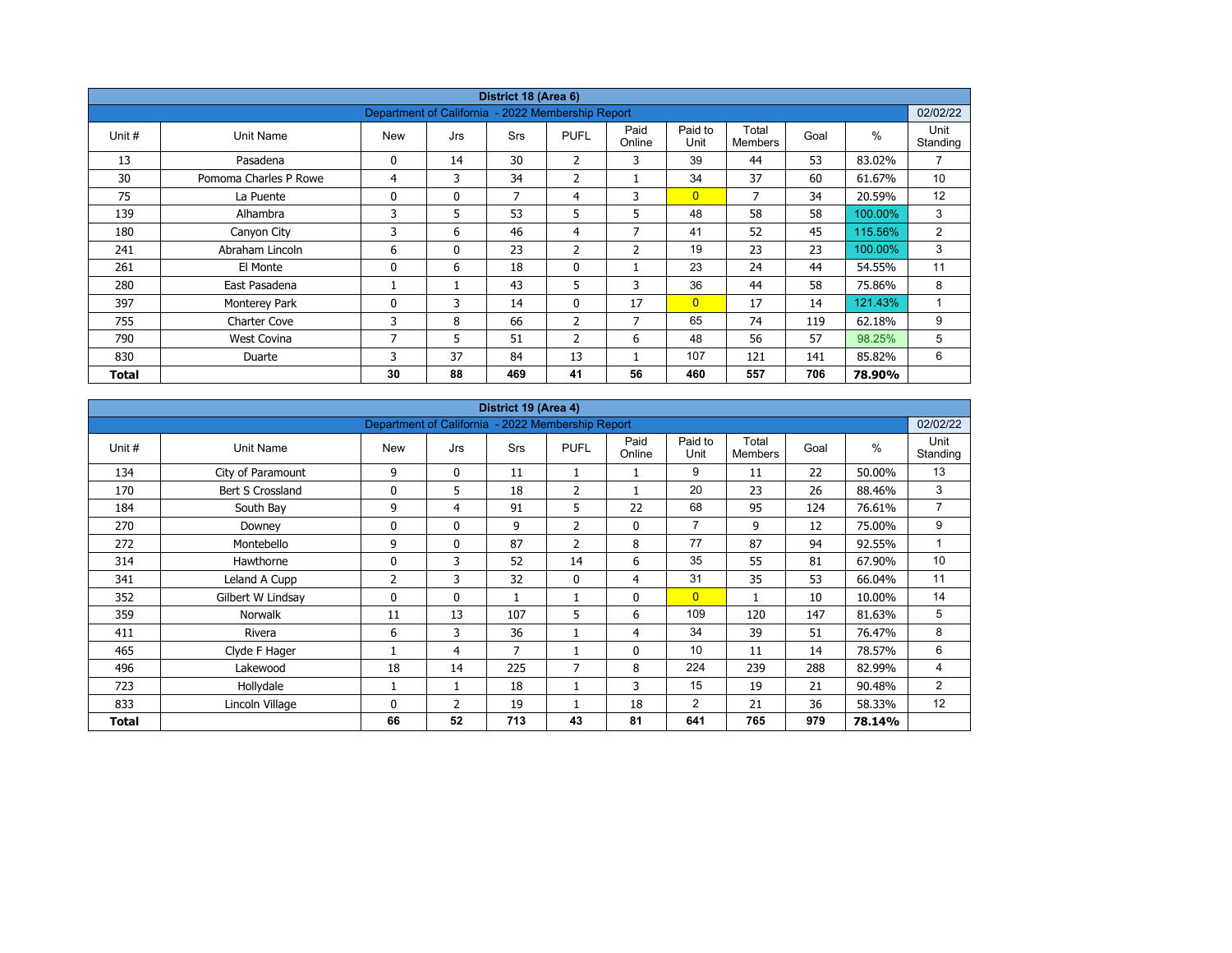| District 18 (Area 6) |                       |                                                   |              |            |                |                |                 |                         |      |         |                  |  |  |
|----------------------|-----------------------|---------------------------------------------------|--------------|------------|----------------|----------------|-----------------|-------------------------|------|---------|------------------|--|--|
|                      |                       | Department of California - 2022 Membership Report |              |            |                |                |                 |                         |      |         | 02/02/22         |  |  |
| Unit #               | Unit Name             | <b>New</b>                                        | Jrs          | <b>Srs</b> | <b>PUFL</b>    | Paid<br>Online | Paid to<br>Unit | Total<br><b>Members</b> | Goal | $\%$    | Unit<br>Standing |  |  |
| 13                   | Pasadena              | 0                                                 | 14           | 30         | $\overline{2}$ | 3              | 39              | 44                      | 53   | 83.02%  | $\overline{7}$   |  |  |
| 30                   | Pomoma Charles P Rowe | 4                                                 | 3            | 34         | $\overline{2}$ |                | 34              | 37                      | 60   | 61.67%  | 10               |  |  |
| 75                   | La Puente             | 0                                                 | $\mathbf{0}$ | 7          | 4              | 3              | $\overline{0}$  | 7                       | 34   | 20.59%  | 12               |  |  |
| 139                  | Alhambra              | 3                                                 | 5            | 53         | 5              | 5              | 48              | 58                      | 58   | 100.00% | 3                |  |  |
| 180                  | Canyon City           | 3                                                 | 6            | 46         | $\overline{4}$ | 7              | 41              | 52                      | 45   | 115.56% | 2                |  |  |
| 241                  | Abraham Lincoln       | 6                                                 | $\mathbf{0}$ | 23         | 2              | $\overline{2}$ | 19              | 23                      | 23   | 100.00% | 3                |  |  |
| 261                  | El Monte              | 0                                                 | 6            | 18         | $\mathbf 0$    |                | 23              | 24                      | 44   | 54.55%  | 11               |  |  |
| 280                  | East Pasadena         |                                                   |              | 43         | 5              | 3              | 36              | 44                      | 58   | 75.86%  | 8                |  |  |
| 397                  | Monterey Park         | 0                                                 | 3            | 14         | $\mathbf{0}$   | 17             | $\overline{0}$  | 17                      | 14   | 121.43% | $\mathbf{1}$     |  |  |
| 755                  | <b>Charter Cove</b>   | 3                                                 | 8            | 66         | $\overline{2}$ | $\overline{7}$ | 65              | 74                      | 119  | 62.18%  | 9                |  |  |
| 790                  | <b>West Covina</b>    | 7                                                 | 5            | 51         | 2              | 6              | 48              | 56                      | 57   | 98.25%  | 5                |  |  |
| 830                  | Duarte                | 3                                                 | 37           | 84         | 13             |                | 107             | 121                     | 141  | 85.82%  | 6                |  |  |
| Total                |                       | 30                                                | 88           | 469        | 41             | 56             | 460             | 557                     | 706  | 78.90%  |                  |  |  |

|        |                   |                                                   |              | District 19 (Area 4) |                |                |                 |                         |      |               |                  |
|--------|-------------------|---------------------------------------------------|--------------|----------------------|----------------|----------------|-----------------|-------------------------|------|---------------|------------------|
|        |                   | Department of California - 2022 Membership Report |              |                      |                |                |                 |                         |      |               | 02/02/22         |
| Unit # | Unit Name         | <b>New</b>                                        | Jrs          | Srs                  | <b>PUFL</b>    | Paid<br>Online | Paid to<br>Unit | Total<br><b>Members</b> | Goal | $\frac{0}{0}$ | Unit<br>Standing |
| 134    | City of Paramount | 9                                                 | $\mathbf{0}$ | 11                   | 1              |                | 9               | 11                      | 22   | 50.00%        | 13               |
| 170    | Bert S Crossland  | 0                                                 | 5            | 18                   | $\overline{2}$ |                | 20              | 23                      | 26   | 88.46%        | 3                |
| 184    | South Bay         | 9                                                 | 4            | 91                   | 5              | 22             | 68              | 95                      | 124  | 76.61%        | $\overline{7}$   |
| 270    | Downey            | 0                                                 | $\mathbf{0}$ | 9                    | $\overline{2}$ | $\mathbf 0$    | $\overline{7}$  | 9                       | 12   | 75.00%        | 9                |
| 272    | Montebello        | 9                                                 | $\mathbf{0}$ | 87                   | $\overline{2}$ | 8              | 77              | 87                      | 94   | 92.55%        | $\mathbf{1}$     |
| 314    | Hawthorne         | 0                                                 | 3            | 52                   | 14             | 6              | 35              | 55                      | 81   | 67.90%        | 10               |
| 341    | Leland A Cupp     | 2                                                 | 3            | 32                   | $\mathbf{0}$   | 4              | 31              | 35                      | 53   | 66.04%        | 11               |
| 352    | Gilbert W Lindsay | 0                                                 | $\mathbf{0}$ | $\mathbf{1}$         |                | $\mathbf 0$    | $\overline{0}$  | $\mathbf{1}$            | 10   | 10.00%        | 14               |
| 359    | <b>Norwalk</b>    | 11                                                | 13           | 107                  | 5              | 6              | 109             | 120                     | 147  | 81.63%        | 5                |
| 411    | Rivera            | 6                                                 | 3            | 36                   |                | $\overline{4}$ | 34              | 39                      | 51   | 76.47%        | 8                |
| 465    | Clyde F Hager     |                                                   | 4            | 7                    |                | $\mathbf 0$    | 10              | 11                      | 14   | 78.57%        | 6                |
| 496    | Lakewood          | 18                                                | 14           | 225                  | 7              | 8              | 224             | 239                     | 288  | 82.99%        | 4                |
| 723    | Hollydale         |                                                   | 1            | 18                   |                | 3              | 15              | 19                      | 21   | 90.48%        | 2                |
| 833    | Lincoln Village   | 0                                                 | 2            | 19                   |                | 18             | 2               | 21                      | 36   | 58.33%        | 12               |
| Total  |                   | 66                                                | 52           | 713                  | 43             | 81             | 641             | 765                     | 979  | 78.14%        |                  |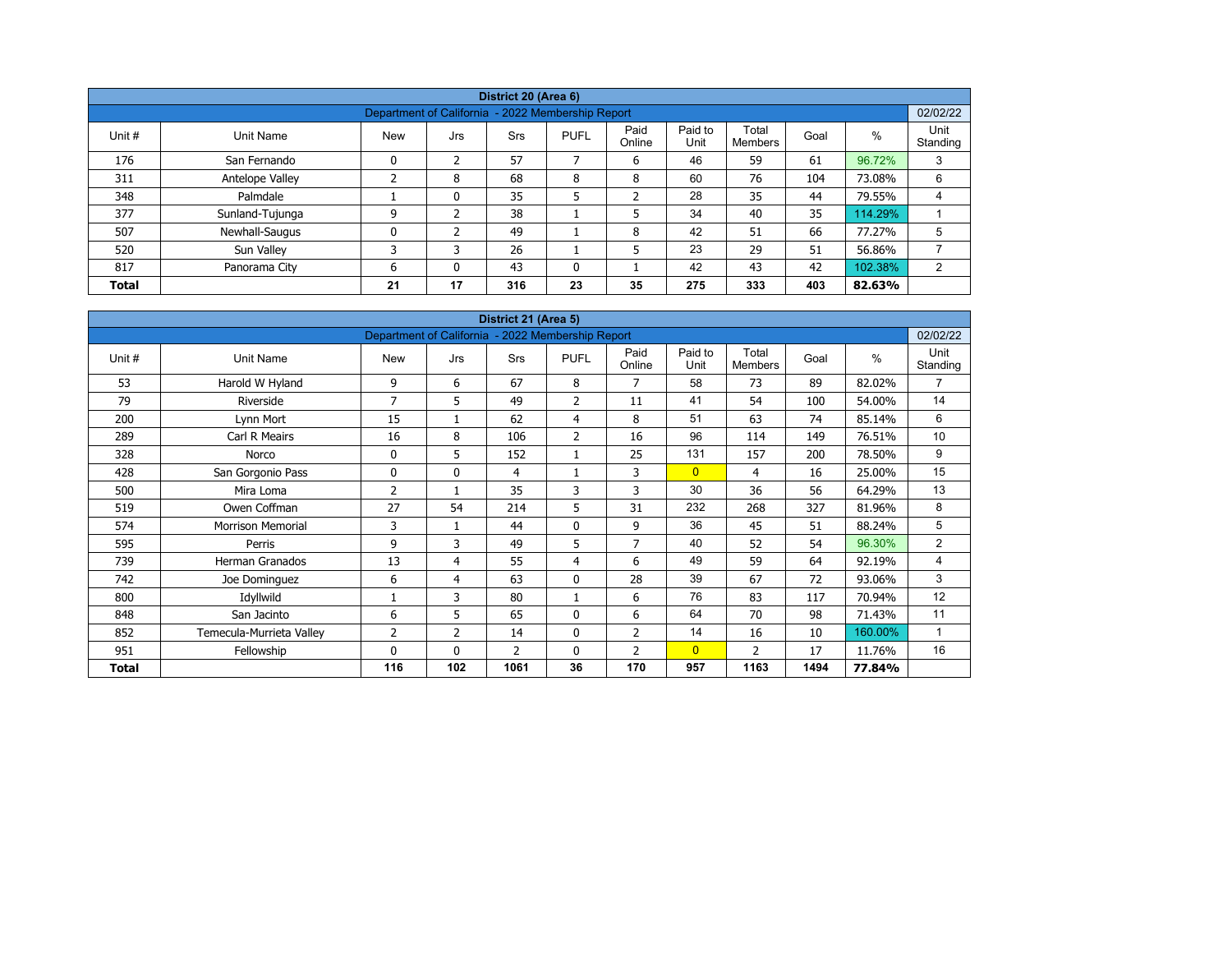| District 20 (Area 6)                                                       |                                                               |            |          |     |             |                |                 |                  |      |         |                  |  |  |  |  |
|----------------------------------------------------------------------------|---------------------------------------------------------------|------------|----------|-----|-------------|----------------|-----------------|------------------|------|---------|------------------|--|--|--|--|
|                                                                            | 02/02/22<br>Department of California - 2022 Membership Report |            |          |     |             |                |                 |                  |      |         |                  |  |  |  |  |
| Unit #                                                                     | Unit Name                                                     | <b>New</b> | Jrs      | Srs | <b>PUFL</b> | Paid<br>Online | Paid to<br>Unit | Total<br>Members | Goal | $\%$    | Unit<br>Standing |  |  |  |  |
| 176                                                                        | San Fernando                                                  | 0          | 2        | 57  |             | 6              | 46              | 59               | 61   | 96.72%  | 3                |  |  |  |  |
| 311                                                                        | Antelope Valley                                               |            | 8        | 68  | 8           | 8              | 60              | 76               | 104  | 73.08%  | 6                |  |  |  |  |
| 348                                                                        | Palmdale                                                      |            | 0        | 35  | 5           | ำ<br>∠         | 28              | 35               | 44   | 79.55%  | 4                |  |  |  |  |
| 377                                                                        | Sunland-Tujunga                                               | 9          | h        | 38  |             | 5              | 34              | 40               | 35   | 114.29% |                  |  |  |  |  |
| 507                                                                        | Newhall-Saugus                                                | 0          |          | 49  |             | 8              | 42              | 51               | 66   | 77.27%  | 5                |  |  |  |  |
| 520                                                                        | Sun Valley                                                    | 3          | 3        | 26  |             | 5              | 23              | 29               | 51   | 56.86%  |                  |  |  |  |  |
| 817                                                                        | Panorama City                                                 | 6          | $\Omega$ | 43  | 0           |                | 42              | 43               | 42   | 102.38% | 2                |  |  |  |  |
| 17<br>23<br>275<br>333<br>316<br>35<br>403<br>21<br>82.63%<br><b>Total</b> |                                                               |            |          |     |             |                |                 |                  |      |         |                  |  |  |  |  |

| District 21 (Area 5) |                          |                                                   |                |      |                |                |                 |                         |      |               |                  |  |  |  |
|----------------------|--------------------------|---------------------------------------------------|----------------|------|----------------|----------------|-----------------|-------------------------|------|---------------|------------------|--|--|--|
|                      |                          | Department of California - 2022 Membership Report |                |      |                |                |                 |                         |      |               | 02/02/22         |  |  |  |
| Unit #               | Unit Name                | <b>New</b>                                        | Jrs            | Srs  | <b>PUFL</b>    | Paid<br>Online | Paid to<br>Unit | Total<br><b>Members</b> | Goal | $\frac{0}{0}$ | Unit<br>Standing |  |  |  |
| 53                   | Harold W Hyland          | 9                                                 | 6              | 67   | 8              | $\overline{7}$ | 58              | 73                      | 89   | 82.02%        | 7                |  |  |  |
| 79                   | Riverside                | 7                                                 | 5              | 49   | 2              | 11             | 41              | 54                      | 100  | 54.00%        | 14               |  |  |  |
| 200                  | Lynn Mort                | 15                                                | 1              | 62   | 4              | 8              | 51              | 63                      | 74   | 85.14%        | 6                |  |  |  |
| 289                  | Carl R Meairs            | 16                                                | 8              | 106  | $\overline{2}$ | 16             | 96              | 114                     | 149  | 76.51%        | 10               |  |  |  |
| 328                  | Norco                    | 0                                                 | 5              | 152  | $\mathbf{1}$   | 25             | 131             | 157                     | 200  | 78.50%        | 9                |  |  |  |
| 428                  | San Gorgonio Pass        | $\mathbf{0}$                                      | $\mathbf{0}$   | 4    |                | 3              | $\overline{0}$  | 4                       | 16   | 25.00%        | 15               |  |  |  |
| 500                  | Mira Loma                | 2                                                 | $\mathbf{1}$   | 35   | 3              | 3              | 30              | 36                      | 56   | 64.29%        | 13               |  |  |  |
| 519                  | Owen Coffman             | 27                                                | 54             | 214  | 5              | 31             | 232             | 268                     | 327  | 81.96%        | 8                |  |  |  |
| 574                  | <b>Morrison Memorial</b> | 3                                                 | 1              | 44   | $\mathbf 0$    | 9              | 36              | 45                      | 51   | 88.24%        | 5                |  |  |  |
| 595                  | Perris                   | 9                                                 | 3              | 49   | 5              | $\overline{7}$ | 40              | 52                      | 54   | 96.30%        | 2                |  |  |  |
| 739                  | Herman Granados          | 13                                                | 4              | 55   | 4              | 6              | 49              | 59                      | 64   | 92.19%        | 4                |  |  |  |
| 742                  | Joe Dominguez            | 6                                                 | 4              | 63   | $\mathbf 0$    | 28             | 39              | 67                      | 72   | 93.06%        | 3                |  |  |  |
| 800                  | Idyllwild                |                                                   | 3              | 80   |                | 6              | 76              | 83                      | 117  | 70.94%        | 12               |  |  |  |
| 848                  | San Jacinto              | 6                                                 | 5              | 65   | $\mathbf 0$    | 6              | 64              | 70                      | 98   | 71.43%        | 11               |  |  |  |
| 852                  | Temecula-Murrieta Valley | 2                                                 | $\overline{2}$ | 14   | $\mathbf 0$    | $\overline{2}$ | 14              | 16                      | 10   | 160.00%       | 1                |  |  |  |
| 951                  | Fellowship               | 0                                                 | $\mathbf{0}$   | 2    | $\mathbf 0$    | 2              | $\overline{0}$  | 2                       | 17   | 11.76%        | 16               |  |  |  |
| Total                |                          | 116                                               | 102            | 1061 | 36             | 170            | 957             | 1163                    | 1494 | 77.84%        |                  |  |  |  |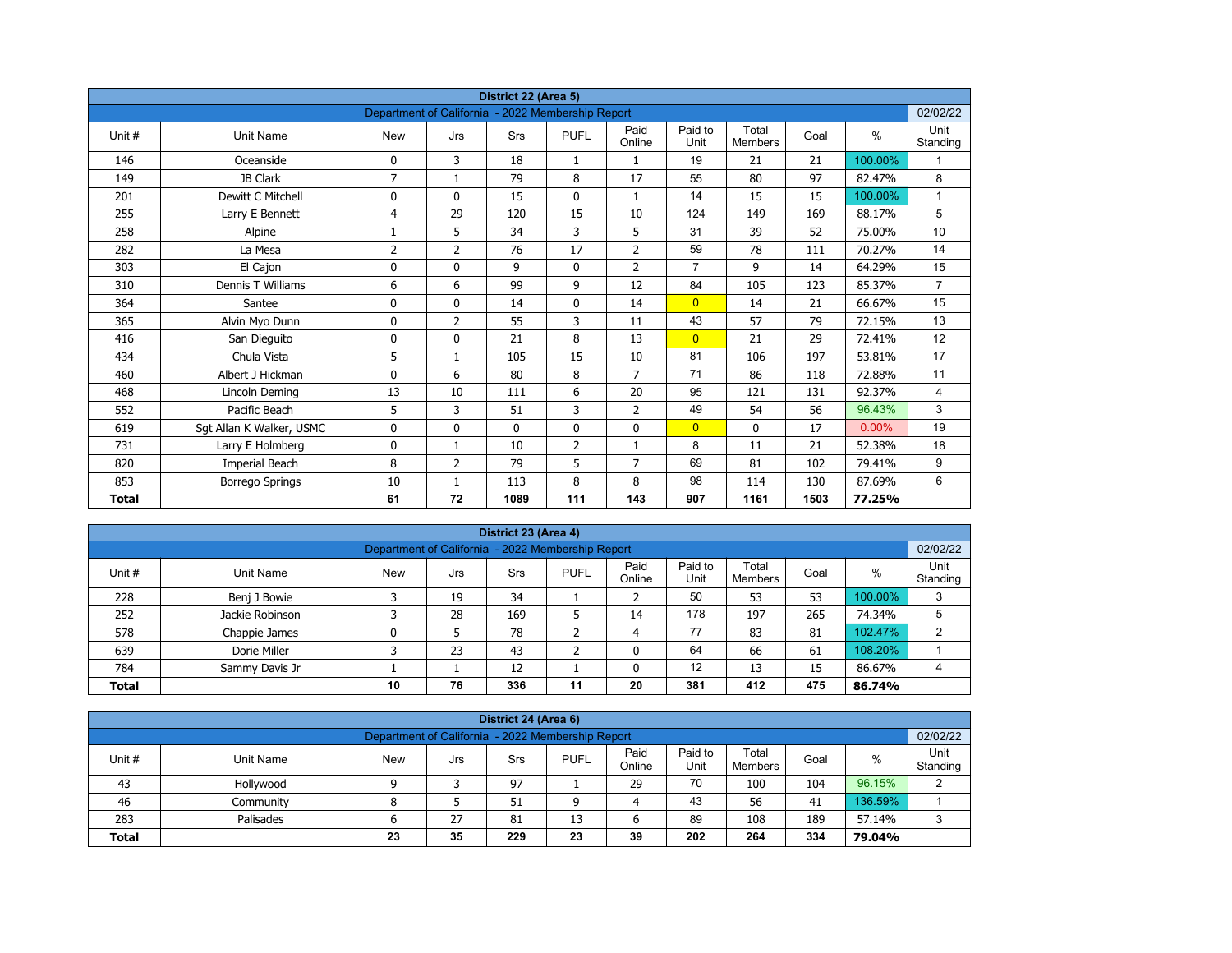| District 22 (Area 5) |                          |                                                   |                |             |                |                |                 |                         |      |          |                  |  |  |
|----------------------|--------------------------|---------------------------------------------------|----------------|-------------|----------------|----------------|-----------------|-------------------------|------|----------|------------------|--|--|
|                      |                          | Department of California - 2022 Membership Report |                |             |                |                |                 |                         |      |          | 02/02/22         |  |  |
| Unit#                | <b>Unit Name</b>         | <b>New</b>                                        | Jrs            | Srs         | <b>PUFL</b>    | Paid<br>Online | Paid to<br>Unit | Total<br><b>Members</b> | Goal | $\%$     | Unit<br>Standing |  |  |
| 146                  | Oceanside                | 0                                                 | 3              | 18          | $\mathbf{1}$   | $\mathbf{1}$   | 19              | 21                      | 21   | 100.00%  | 1                |  |  |
| 149                  | JB Clark                 | $\overline{7}$                                    | $\mathbf{1}$   | 79          | 8              | 17             | 55              | 80                      | 97   | 82.47%   | 8                |  |  |
| 201                  | Dewitt C Mitchell        | 0                                                 | $\mathbf{0}$   | 15          | $\mathbf{0}$   | $\mathbf{1}$   | 14              | 15                      | 15   | 100.00%  | $\mathbf{1}$     |  |  |
| 255                  | Larry E Bennett          | 4                                                 | 29             | 120         | 15             | 10             | 124             | 149                     | 169  | 88.17%   | 5                |  |  |
| 258                  | Alpine                   | 1                                                 | 5              | 34          | 3              | 5              | 31              | 39                      | 52   | 75.00%   | 10               |  |  |
| 282                  | La Mesa                  | 2                                                 | $\overline{2}$ | 76          | 17             | $\overline{2}$ | 59              | 78                      | 111  | 70.27%   | 14               |  |  |
| 303                  | El Cajon                 | 0                                                 | 0              | 9           | $\mathbf 0$    | $\overline{2}$ | $\overline{7}$  | 9                       | 14   | 64.29%   | 15               |  |  |
| 310                  | Dennis T Williams        | 6                                                 | 6              | 99          | 9              | 12             | 84              | 105                     | 123  | 85.37%   | $\overline{7}$   |  |  |
| 364                  | Santee                   | 0                                                 | 0              | 14          | 0              | 14             | $\overline{0}$  | 14                      | 21   | 66.67%   | 15               |  |  |
| 365                  | Alvin Myo Dunn           | 0                                                 | $\overline{2}$ | 55          | 3              | 11             | 43              | 57                      | 79   | 72.15%   | 13               |  |  |
| 416                  | San Dieguito             | 0                                                 | $\Omega$       | 21          | 8              | 13             | $\overline{0}$  | 21                      | 29   | 72.41%   | 12               |  |  |
| 434                  | Chula Vista              | 5                                                 | $\mathbf{1}$   | 105         | 15             | 10             | 81              | 106                     | 197  | 53.81%   | 17               |  |  |
| 460                  | Albert J Hickman         | 0                                                 | 6              | 80          | 8              | $\overline{7}$ | 71              | 86                      | 118  | 72.88%   | 11               |  |  |
| 468                  | Lincoln Deming           | 13                                                | 10             | 111         | 6              | 20             | 95              | 121                     | 131  | 92.37%   | $\overline{4}$   |  |  |
| 552                  | Pacific Beach            | 5                                                 | 3              | 51          | 3              | $\overline{2}$ | 49              | 54                      | 56   | 96.43%   | 3                |  |  |
| 619                  | Sgt Allan K Walker, USMC | 0                                                 | 0              | $\mathbf 0$ | $\mathbf 0$    | 0              | $\overline{0}$  | 0                       | 17   | $0.00\%$ | 19               |  |  |
| 731                  | Larry E Holmberg         | 0                                                 | $\mathbf{1}$   | 10          | $\overline{2}$ | $\mathbf{1}$   | 8               | 11                      | 21   | 52.38%   | 18               |  |  |
| 820                  | Imperial Beach           | 8                                                 | $\overline{2}$ | 79          | 5              | 7              | 69              | 81                      | 102  | 79.41%   | 9                |  |  |
| 853                  | <b>Borrego Springs</b>   | 10                                                | 1              | 113         | 8              | 8              | 98              | 114                     | 130  | 87.69%   | 6                |  |  |
| <b>Total</b>         |                          | 61                                                | 72             | 1089        | 111            | 143            | 907             | 1161                    | 1503 | 77.25%   |                  |  |  |

| District 23 (Area 4)<br>02/02/22                                                                                                                       |                                                   |   |    |     |   |          |     |     |     |         |   |  |  |  |  |
|--------------------------------------------------------------------------------------------------------------------------------------------------------|---------------------------------------------------|---|----|-----|---|----------|-----|-----|-----|---------|---|--|--|--|--|
|                                                                                                                                                        | Department of California - 2022 Membership Report |   |    |     |   |          |     |     |     |         |   |  |  |  |  |
| Paid to<br>Paid<br>Total<br>%<br><b>PUFL</b><br>Unit#<br>Goal<br>Unit Name<br><b>Srs</b><br><b>New</b><br>Jrs<br>Standing<br>Unit<br>Online<br>Members |                                                   |   |    |     |   |          |     |     |     |         |   |  |  |  |  |
| 228                                                                                                                                                    | Benj J Bowie                                      |   | 19 | 34  |   |          | 50  | 53  | 53  | 100.00% | 3 |  |  |  |  |
| 252                                                                                                                                                    | Jackie Robinson                                   |   | 28 | 169 |   | 14       | 178 | 197 | 265 | 74.34%  | 5 |  |  |  |  |
| 578                                                                                                                                                    | Chappie James                                     | 0 |    | 78  |   | 4        | 77  | 83  | 81  | 102.47% | っ |  |  |  |  |
| 639                                                                                                                                                    | Dorie Miller                                      |   | 23 | 43  | ╮ | $\Omega$ | 64  | 66  | 61  | 108.20% |   |  |  |  |  |
| 784                                                                                                                                                    | Sammy Davis Jr                                    |   |    | 12  |   |          | 12  | 13  | 15  | 86.67%  | 4 |  |  |  |  |
| 76<br>336<br>20<br>381<br>11<br>412<br>475<br>10<br><b>Total</b><br>86.74%                                                                             |                                                   |   |    |     |   |          |     |     |     |         |   |  |  |  |  |

| District 24 (Area 6)                                                                                                                      |                                                               |   |    |    |    |    |    |     |     |         |            |  |  |  |
|-------------------------------------------------------------------------------------------------------------------------------------------|---------------------------------------------------------------|---|----|----|----|----|----|-----|-----|---------|------------|--|--|--|
|                                                                                                                                           | 02/02/22<br>Department of California - 2022 Membership Report |   |    |    |    |    |    |     |     |         |            |  |  |  |
| Paid<br>Paid to<br>Total<br><b>PUFL</b><br>Unit #<br>%<br>Goal<br>Unit Name<br>Srs<br>New<br>Jrs<br>Standing<br>Online<br>Unit<br>Members |                                                               |   |    |    |    |    |    |     |     |         |            |  |  |  |
| 43                                                                                                                                        | Hollywood                                                     |   |    | 97 |    | 29 | 70 | 100 | 104 | 96.15%  | $\sqrt{2}$ |  |  |  |
| 46                                                                                                                                        | Community                                                     | o |    | 51 | ٥  | 4  | 43 | 56  | 41  | 136.59% |            |  |  |  |
| 283                                                                                                                                       | Palisades                                                     | ס | 27 | 81 | 13 | ь  | 89 | 108 | 189 | 57.14%  | 3          |  |  |  |
| 202<br>35<br>229<br>23<br>39<br>334<br>264<br><b>Total</b><br>23<br>79.04%                                                                |                                                               |   |    |    |    |    |    |     |     |         |            |  |  |  |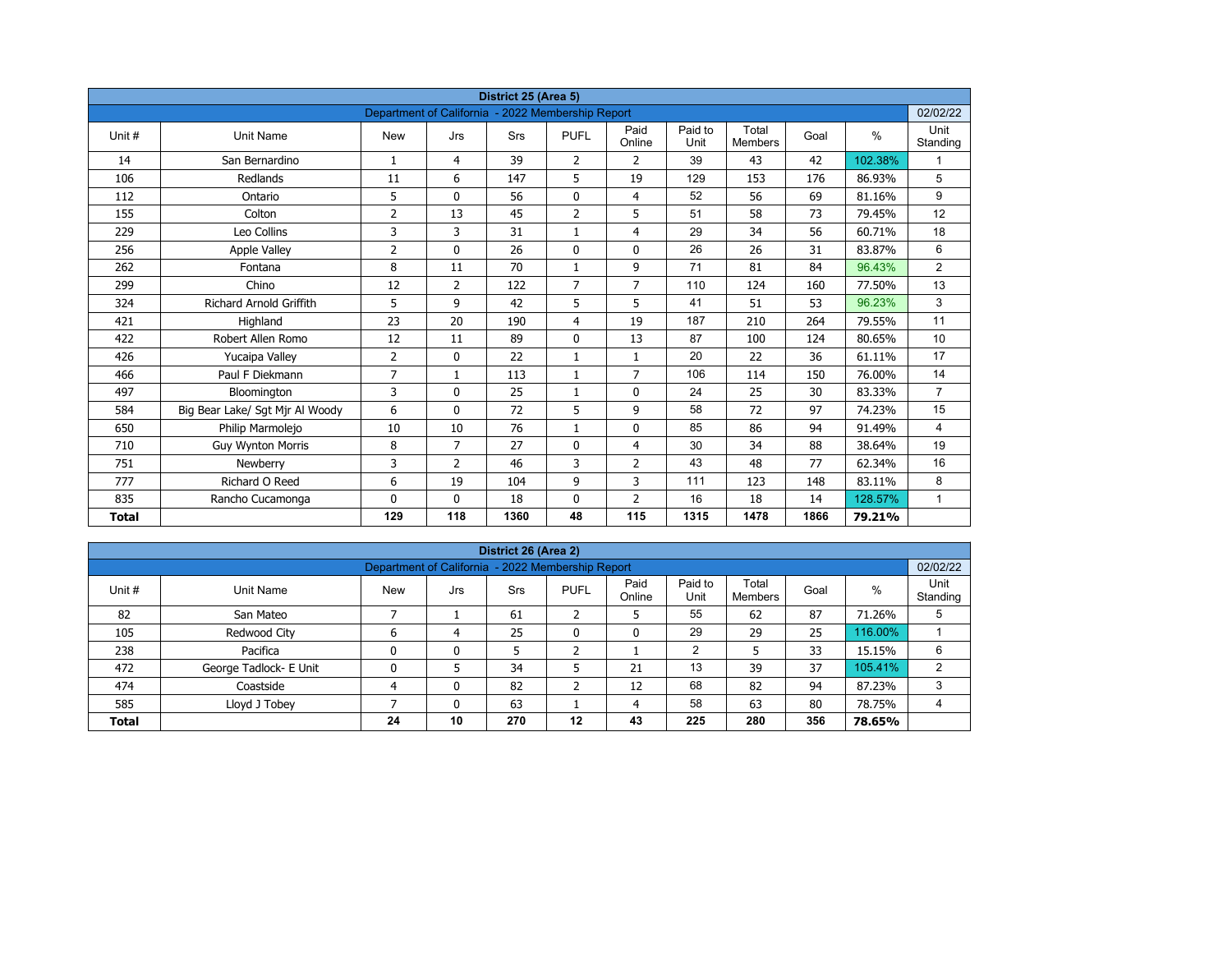| District 25 (Area 5)<br>Department of California - 2022 Membership Report |                                 |                |                |            |                |                |                 |                         |      |         |                  |  |  |
|---------------------------------------------------------------------------|---------------------------------|----------------|----------------|------------|----------------|----------------|-----------------|-------------------------|------|---------|------------------|--|--|
|                                                                           |                                 |                |                |            |                |                |                 |                         |      |         | 02/02/22         |  |  |
| Unit #                                                                    | <b>Unit Name</b>                | <b>New</b>     | Jrs            | <b>Srs</b> | <b>PUFL</b>    | Paid<br>Online | Paid to<br>Unit | Total<br><b>Members</b> | Goal | $\%$    | Unit<br>Standing |  |  |
| 14                                                                        | San Bernardino                  | $\mathbf{1}$   | 4              | 39         | $\overline{2}$ | $\overline{2}$ | 39              | 43                      | 42   | 102.38% |                  |  |  |
| 106                                                                       | Redlands                        | 11             | 6              | 147        | 5              | 19             | 129             | 153                     | 176  | 86.93%  | 5                |  |  |
| 112                                                                       | Ontario                         | 5              | $\Omega$       | 56         | $\mathbf 0$    | $\overline{4}$ | 52              | 56                      | 69   | 81.16%  | 9                |  |  |
| 155                                                                       | Colton                          | $\overline{2}$ | 13             | 45         | $\overline{2}$ | 5              | 51              | 58                      | 73   | 79.45%  | 12               |  |  |
| 229                                                                       | Leo Collins                     | 3              | 3              | 31         | $\mathbf{1}$   | $\overline{4}$ | 29              | 34                      | 56   | 60.71%  | 18               |  |  |
| 256                                                                       | <b>Apple Valley</b>             | 2              | $\Omega$       | 26         | $\mathbf{0}$   | $\mathbf{0}$   | 26              | 26                      | 31   | 83.87%  | 6                |  |  |
| 262                                                                       | Fontana                         | 8              | 11             | 70         | $\mathbf{1}$   | 9              | 71              | 81                      | 84   | 96.43%  | $\overline{2}$   |  |  |
| 299                                                                       | Chino                           | 12             | $\overline{2}$ | 122        | $\overline{7}$ | $\overline{7}$ | 110             | 124                     | 160  | 77.50%  | 13               |  |  |
| 324                                                                       | <b>Richard Arnold Griffith</b>  | 5              | 9              | 42         | 5              | 5              | 41              | 51                      | 53   | 96.23%  | 3                |  |  |
| 421                                                                       | Highland                        | 23             | 20             | 190        | 4              | 19             | 187             | 210                     | 264  | 79.55%  | 11               |  |  |
| 422                                                                       | Robert Allen Romo               | 12             | 11             | 89         | $\mathbf{0}$   | 13             | 87              | 100                     | 124  | 80.65%  | 10               |  |  |
| 426                                                                       | Yucaipa Valley                  | $\overline{2}$ | 0              | 22         | $\mathbf{1}$   | $\mathbf{1}$   | 20              | 22                      | 36   | 61.11%  | 17               |  |  |
| 466                                                                       | Paul F Diekmann                 | $\overline{7}$ | $\mathbf{1}$   | 113        | $\mathbf{1}$   | $\overline{7}$ | 106             | 114                     | 150  | 76.00%  | 14               |  |  |
| 497                                                                       | Bloomington                     | 3              | 0              | 25         | $\mathbf{1}$   | $\mathbf 0$    | 24              | 25                      | 30   | 83.33%  | $\overline{7}$   |  |  |
| 584                                                                       | Big Bear Lake/ Sgt Mjr Al Woody | 6              | $\mathbf{0}$   | 72         | 5              | 9              | 58              | 72                      | 97   | 74.23%  | 15               |  |  |
| 650                                                                       | Philip Marmolejo                | 10             | 10             | 76         | $\mathbf{1}$   | $\mathbf 0$    | 85              | 86                      | 94   | 91.49%  | 4                |  |  |
| 710                                                                       | <b>Guy Wynton Morris</b>        | 8              | $\overline{7}$ | 27         | $\mathbf{0}$   | $\overline{4}$ | 30              | 34                      | 88   | 38.64%  | 19               |  |  |
| 751                                                                       | Newberry                        | 3              | $\overline{2}$ | 46         | 3              | $\overline{2}$ | 43              | 48                      | 77   | 62.34%  | 16               |  |  |
| 777                                                                       | Richard O Reed                  | 6              | 19             | 104        | 9              | 3              | 111             | 123                     | 148  | 83.11%  | 8                |  |  |
| 835                                                                       | Rancho Cucamonga                | 0              | $\mathbf{0}$   | 18         | 0              | $\overline{2}$ | 16              | 18                      | 14   | 128.57% | $\mathbf{1}$     |  |  |
| <b>Total</b>                                                              |                                 | 129            | 118            | 1360       | 48             | 115            | 1315            | 1478                    | 1866 | 79.21%  |                  |  |  |

| District 26 (Area 2)                                                            |                                                               |            |     |     |              |                |                 |                         |      |         |                  |  |  |  |  |
|---------------------------------------------------------------------------------|---------------------------------------------------------------|------------|-----|-----|--------------|----------------|-----------------|-------------------------|------|---------|------------------|--|--|--|--|
|                                                                                 | 02/02/22<br>Department of California - 2022 Membership Report |            |     |     |              |                |                 |                         |      |         |                  |  |  |  |  |
| Unit #                                                                          | Unit Name                                                     | <b>New</b> | Jrs | Srs | <b>PUFL</b>  | Paid<br>Online | Paid to<br>Unit | Total<br><b>Members</b> | Goal | %       | Unit<br>Standing |  |  |  |  |
| 82                                                                              | San Mateo                                                     |            |     | 61  | h<br>∠       | כ              | 55              | 62                      | 87   | 71.26%  | 5                |  |  |  |  |
| 105                                                                             | Redwood City                                                  | 6          | 4   | 25  | $\mathbf{0}$ | 0              | 29              | 29                      | 25   | 116.00% |                  |  |  |  |  |
| 238                                                                             | Pacifica                                                      | 0          | 0   | 5   | h            |                | 2               |                         | 33   | 15.15%  | 6                |  |  |  |  |
| 472                                                                             | George Tadlock- E Unit                                        | 0          |     | 34  |              | 21             | 13              | 39                      | 37   | 105.41% | $\overline{2}$   |  |  |  |  |
| 474                                                                             | Coastside                                                     | 4          | 0   | 82  | h<br>∠       | 12             | 68              | 82                      | 94   | 87.23%  | 3                |  |  |  |  |
| 58<br>585<br>63<br>63<br>80<br>Lloyd J Tobey<br>78.75%<br>4<br>0<br>4           |                                                               |            |     |     |              |                |                 |                         |      |         |                  |  |  |  |  |
| 356<br>10<br>270<br>225<br>$12 \,$<br>43<br>280<br>78.65%<br>24<br><b>Total</b> |                                                               |            |     |     |              |                |                 |                         |      |         |                  |  |  |  |  |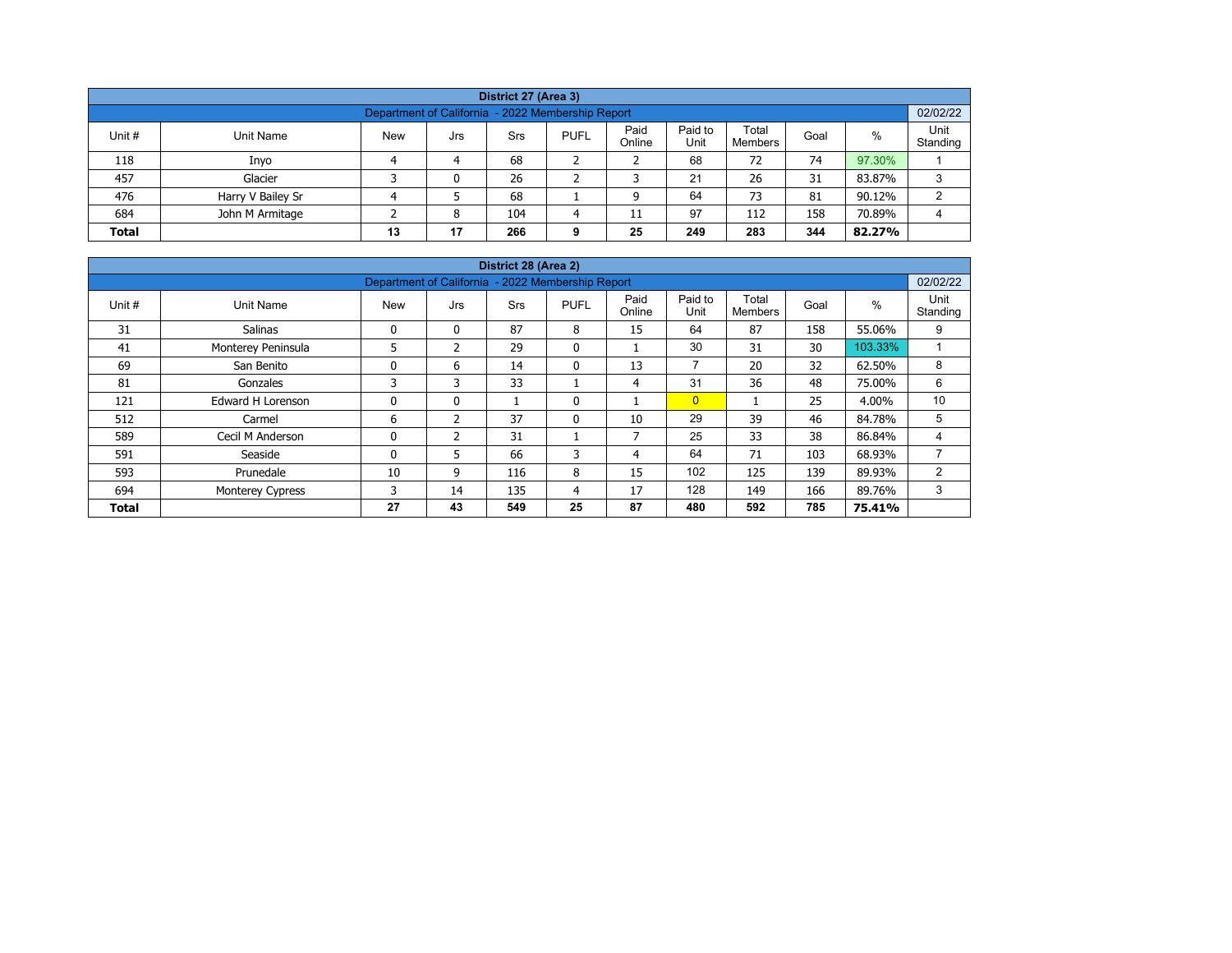| District 27 (Area 3)                                                                                                                                    |                   |  |   |     |   |    |    |     |     |        |    |  |  |  |
|---------------------------------------------------------------------------------------------------------------------------------------------------------|-------------------|--|---|-----|---|----|----|-----|-----|--------|----|--|--|--|
| Department of California - 2022 Membership Report                                                                                                       |                   |  |   |     |   |    |    |     |     |        |    |  |  |  |
| Paid<br>Paid to<br>Total<br>%<br>Unit #<br><b>New</b><br><b>PUFL</b><br>Unit Name<br>Srs<br>Goal<br>Jrs<br>Unit<br>Online<br>Standing<br><b>Members</b> |                   |  |   |     |   |    |    |     |     |        |    |  |  |  |
| 118                                                                                                                                                     | Inyo              |  | 4 | 68  |   |    | 68 | 72  | 74  | 97.30% |    |  |  |  |
| 457                                                                                                                                                     | Glacier           |  | 0 | 26  |   |    | 21 | 26  | 31  | 83.87% | 3  |  |  |  |
| 476                                                                                                                                                     | Harry V Bailey Sr |  |   | 68  |   |    | 64 | 73  | 81  | 90.12% | C. |  |  |  |
| 684                                                                                                                                                     | John M Armitage   |  | 8 | 104 | 4 | 11 | 97 | 112 | 158 | 70.89% | 4  |  |  |  |
| 17<br>249<br>283<br>344<br>25<br><b>Total</b><br>13<br>266<br>82.27%<br>9                                                                               |                   |  |   |     |   |    |    |     |     |        |    |  |  |  |

| District 28 (Area 2) |                         |                                                   |               |            |              |                          |                 |                         |      |         |                  |  |  |  |
|----------------------|-------------------------|---------------------------------------------------|---------------|------------|--------------|--------------------------|-----------------|-------------------------|------|---------|------------------|--|--|--|
|                      |                         | Department of California - 2022 Membership Report |               |            |              |                          |                 |                         |      |         | 02/02/22         |  |  |  |
| Unit #               | Unit Name               | <b>New</b>                                        | Jrs           | <b>Srs</b> | <b>PUFL</b>  | Paid<br>Online           | Paid to<br>Unit | Total<br><b>Members</b> | Goal | $\%$    | Unit<br>Standing |  |  |  |
| 31                   | <b>Salinas</b>          | 0                                                 | $\mathbf{0}$  | 87         | 8            | 15                       | 64              | 87                      | 158  | 55.06%  | 9                |  |  |  |
| 41                   | Monterey Peninsula      | 5                                                 | $\mathcal{P}$ | 29         | $\mathbf{0}$ |                          | 30              | 31                      | 30   | 103.33% |                  |  |  |  |
| 69                   | San Benito              | 0                                                 | 6             | 14         | 0            | 13                       | $\overline{ }$  | 20                      | 32   | 62.50%  | 8                |  |  |  |
| 81                   | Gonzales                | 3                                                 | 3             | 33         |              | 4                        | 31              | 36                      | 48   | 75.00%  | 6                |  |  |  |
| 121                  | Edward H Lorenson       | 0                                                 | $\mathbf{0}$  |            | 0            |                          | $\overline{0}$  |                         | 25   | 4.00%   | 10               |  |  |  |
| 512                  | Carmel                  | 6                                                 | 2             | 37         | $\mathbf{0}$ | 10                       | 29              | 39                      | 46   | 84.78%  | 5                |  |  |  |
| 589                  | Cecil M Anderson        | 0                                                 | 2             | 31         |              | $\overline{\phantom{a}}$ | 25              | 33                      | 38   | 86.84%  | 4                |  |  |  |
| 591                  | Seaside                 | $\mathbf{0}$                                      | 5.            | 66         | 3            | 4                        | 64              | 71                      | 103  | 68.93%  | ⇁                |  |  |  |
| 593                  | Prunedale               | 10                                                | 9             | 116        | 8            | 15                       | 102             | 125                     | 139  | 89.93%  | 2                |  |  |  |
| 694                  | <b>Monterey Cypress</b> | 3                                                 | 14            | 135        | 4            | 17                       | 128             | 149                     | 166  | 89.76%  | 3                |  |  |  |
| <b>Total</b>         |                         | 27                                                | 43            | 549        | 25           | 87                       | 480             | 592                     | 785  | 75.41%  |                  |  |  |  |